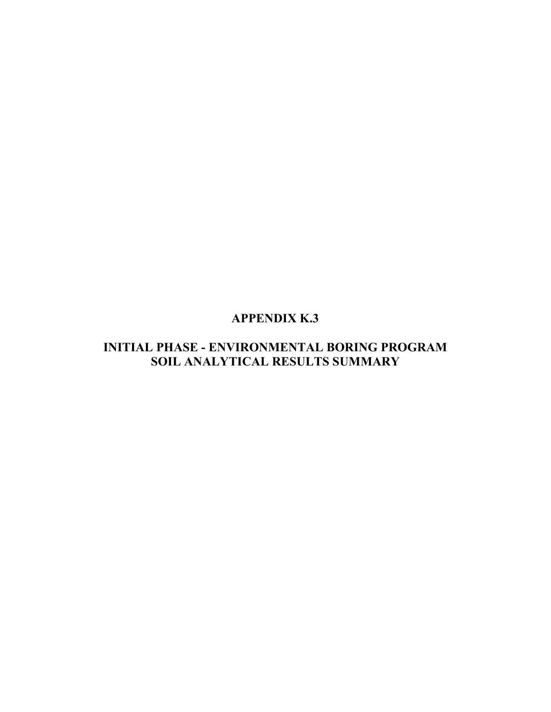# **APPENDIX K.3**

# **INITIAL PHASE - ENVIRONMENTAL BORING PROGRAM SOIL ANALYTICAL RESULTS SUMMARY**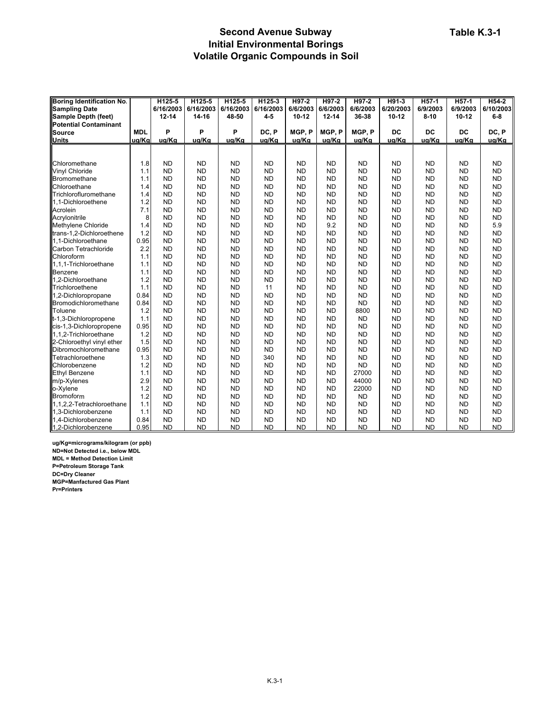#### **Second Avenue Subway Initial Environmental Borings Volatile Organic Compounds in Soil**

| <b>Boring Identification No.</b> |            | H125-5    | H125-5    | H125-5    | H125-3    | H97-2     | H97-2     | H97-2     | H91-3     | H <sub>57-1</sub> | H <sub>57-1</sub> | H54-2     |
|----------------------------------|------------|-----------|-----------|-----------|-----------|-----------|-----------|-----------|-----------|-------------------|-------------------|-----------|
| <b>Sampling Date</b>             |            | 6/16/2003 | 6/16/2003 | 6/16/2003 | 6/16/2003 | 6/6/2003  | 6/6/2003  | 6/6/2003  | 6/20/2003 | 6/9/2003          | 6/9/2003          | 6/10/2003 |
| Sample Depth (feet)              |            | $12 - 14$ | 14-16     | 48-50     | $4 - 5$   | $10 - 12$ | $12 - 14$ | 36-38     | $10 - 12$ | $8 - 10$          | $10 - 12$         | $6-8$     |
| <b>Potential Contaminant</b>     |            |           |           |           |           |           |           |           |           |                   |                   |           |
| <b>Source</b>                    | <b>MDL</b> | P         | P         | P         | DC, P     | MGP, P    | MGP.P     | MGP.P     | DC        | DC                | DC                | DC, P     |
| <b>Units</b>                     | ug/Kg      | ug/Kg     | ug/Kg     | ug/Kg     | ug/Kg     | ug/Kg     | ug/Kg     | ug/Kg     | ug/Kg     | ug/Kg             | ug/Kg             | ug/Kg     |
|                                  |            |           |           |           |           |           |           |           |           |                   |                   |           |
|                                  |            |           |           |           |           |           |           |           |           |                   |                   |           |
| Chloromethane                    | 1.8        | <b>ND</b> | <b>ND</b> | <b>ND</b> | <b>ND</b> | <b>ND</b> | <b>ND</b> | <b>ND</b> | <b>ND</b> | ND                | <b>ND</b>         | <b>ND</b> |
| <b>Vinyl Chloride</b>            | 1.1        | <b>ND</b> | <b>ND</b> | <b>ND</b> | <b>ND</b> | <b>ND</b> | <b>ND</b> | <b>ND</b> | <b>ND</b> | <b>ND</b>         | <b>ND</b>         | <b>ND</b> |
| Bromomethane                     | 1.1        | <b>ND</b> | <b>ND</b> | <b>ND</b> | <b>ND</b> | <b>ND</b> | <b>ND</b> | <b>ND</b> | <b>ND</b> | <b>ND</b>         | <b>ND</b>         | <b>ND</b> |
| Chloroethane                     | 1.4        | <b>ND</b> | <b>ND</b> | <b>ND</b> | <b>ND</b> | <b>ND</b> | <b>ND</b> | <b>ND</b> | <b>ND</b> | <b>ND</b>         | <b>ND</b>         | <b>ND</b> |
| Trichlorofluromethane            | 1.4        | <b>ND</b> | <b>ND</b> | <b>ND</b> | <b>ND</b> | <b>ND</b> | <b>ND</b> | <b>ND</b> | <b>ND</b> | <b>ND</b>         | <b>ND</b>         | <b>ND</b> |
| 1,1-Dichloroethene               | 1.2        | <b>ND</b> | <b>ND</b> | <b>ND</b> | <b>ND</b> | <b>ND</b> | <b>ND</b> | <b>ND</b> | <b>ND</b> | <b>ND</b>         | <b>ND</b>         | <b>ND</b> |
| Acrolein                         | 7.1        | <b>ND</b> | <b>ND</b> | <b>ND</b> | <b>ND</b> | <b>ND</b> | <b>ND</b> | <b>ND</b> | <b>ND</b> | <b>ND</b>         | <b>ND</b>         | <b>ND</b> |
| Acrylonitrile                    | 8          | <b>ND</b> | <b>ND</b> | <b>ND</b> | <b>ND</b> | <b>ND</b> | <b>ND</b> | <b>ND</b> | <b>ND</b> | <b>ND</b>         | <b>ND</b>         | <b>ND</b> |
| Methylene Chloride               | 1.4        | <b>ND</b> | <b>ND</b> | <b>ND</b> | <b>ND</b> | <b>ND</b> | 9.2       | <b>ND</b> | <b>ND</b> | <b>ND</b>         | <b>ND</b>         | 5.9       |
| trans-1,2-Dichloroethene         | 1.2        | <b>ND</b> | <b>ND</b> | <b>ND</b> | <b>ND</b> | <b>ND</b> | <b>ND</b> | <b>ND</b> | <b>ND</b> | <b>ND</b>         | <b>ND</b>         | <b>ND</b> |
| 1.1-Dichloroethane               | 0.95       | <b>ND</b> | <b>ND</b> | <b>ND</b> | <b>ND</b> | <b>ND</b> | <b>ND</b> | <b>ND</b> | <b>ND</b> | <b>ND</b>         | <b>ND</b>         | <b>ND</b> |
| Carbon Tetrachloride             | 2.2        | <b>ND</b> | <b>ND</b> | <b>ND</b> | <b>ND</b> | <b>ND</b> | <b>ND</b> | <b>ND</b> | <b>ND</b> | <b>ND</b>         | <b>ND</b>         | <b>ND</b> |
| Chloroform                       | 1.1        | <b>ND</b> | <b>ND</b> | <b>ND</b> | <b>ND</b> | <b>ND</b> | <b>ND</b> | <b>ND</b> | <b>ND</b> | <b>ND</b>         | <b>ND</b>         | <b>ND</b> |
| 1.1.1-Trichloroethane            | 1.1        | <b>ND</b> | <b>ND</b> | <b>ND</b> | <b>ND</b> | <b>ND</b> | <b>ND</b> | <b>ND</b> | <b>ND</b> | <b>ND</b>         | <b>ND</b>         | <b>ND</b> |
| Benzene                          | 1.1        | <b>ND</b> | <b>ND</b> | <b>ND</b> | <b>ND</b> | <b>ND</b> | <b>ND</b> | <b>ND</b> | <b>ND</b> | <b>ND</b>         | <b>ND</b>         | <b>ND</b> |
| 1.2-Dichloroethane               | 1.2        | <b>ND</b> | <b>ND</b> | <b>ND</b> | <b>ND</b> | <b>ND</b> | <b>ND</b> | <b>ND</b> | <b>ND</b> | <b>ND</b>         | <b>ND</b>         | <b>ND</b> |
| Trichloroethene                  | 1.1        | <b>ND</b> | <b>ND</b> | <b>ND</b> | 11        | <b>ND</b> | <b>ND</b> | <b>ND</b> | <b>ND</b> | <b>ND</b>         | <b>ND</b>         | <b>ND</b> |
| 1,2-Dichloropropane              | 0.84       | <b>ND</b> | <b>ND</b> | <b>ND</b> | <b>ND</b> | <b>ND</b> | <b>ND</b> | <b>ND</b> | <b>ND</b> | <b>ND</b>         | <b>ND</b>         | <b>ND</b> |
| Bromodichloromethane             | 0.84       | <b>ND</b> | <b>ND</b> | <b>ND</b> | <b>ND</b> | <b>ND</b> | <b>ND</b> | <b>ND</b> | <b>ND</b> | <b>ND</b>         | <b>ND</b>         | <b>ND</b> |
| Toluene                          | 1.2        | <b>ND</b> | <b>ND</b> | <b>ND</b> | <b>ND</b> | <b>ND</b> | <b>ND</b> | 8800      | <b>ND</b> | <b>ND</b>         | <b>ND</b>         | <b>ND</b> |
| t-1,3-Dichloropropene            | 1.1        | <b>ND</b> | <b>ND</b> | <b>ND</b> | <b>ND</b> | <b>ND</b> | <b>ND</b> | <b>ND</b> | <b>ND</b> | <b>ND</b>         | <b>ND</b>         | <b>ND</b> |
| cis-1,3-Dichloropropene          | 0.95       | <b>ND</b> | <b>ND</b> | <b>ND</b> | <b>ND</b> | <b>ND</b> | <b>ND</b> | <b>ND</b> | <b>ND</b> | <b>ND</b>         | <b>ND</b>         | <b>ND</b> |
| 1,1,2-Trichloroethane            | 1.2        | <b>ND</b> | <b>ND</b> | <b>ND</b> | <b>ND</b> | <b>ND</b> | <b>ND</b> | <b>ND</b> | <b>ND</b> | <b>ND</b>         | <b>ND</b>         | <b>ND</b> |
| 2-Chloroethyl vinyl ether        | 1.5        | <b>ND</b> | <b>ND</b> | <b>ND</b> | <b>ND</b> | <b>ND</b> | <b>ND</b> | <b>ND</b> | <b>ND</b> | <b>ND</b>         | <b>ND</b>         | <b>ND</b> |
| Dibromochloromethane             | 0.95       | <b>ND</b> | <b>ND</b> | <b>ND</b> | <b>ND</b> | <b>ND</b> | <b>ND</b> | <b>ND</b> | <b>ND</b> | <b>ND</b>         | <b>ND</b>         | <b>ND</b> |
| Tetrachloroethene                | 1.3        | <b>ND</b> | <b>ND</b> | <b>ND</b> | 340       | <b>ND</b> | <b>ND</b> | <b>ND</b> | <b>ND</b> | <b>ND</b>         | <b>ND</b>         | <b>ND</b> |
| Chlorobenzene                    | 1.2        | <b>ND</b> | <b>ND</b> | <b>ND</b> | <b>ND</b> | <b>ND</b> | <b>ND</b> | <b>ND</b> | <b>ND</b> | <b>ND</b>         | <b>ND</b>         | <b>ND</b> |
| <b>Ethyl Benzene</b>             | 1.1        | <b>ND</b> | <b>ND</b> | <b>ND</b> | <b>ND</b> | <b>ND</b> | <b>ND</b> | 27000     | <b>ND</b> | <b>ND</b>         | <b>ND</b>         | <b>ND</b> |
| m/p-Xylenes                      | 2.9        | <b>ND</b> | <b>ND</b> | <b>ND</b> | <b>ND</b> | <b>ND</b> | <b>ND</b> | 44000     | <b>ND</b> | <b>ND</b>         | <b>ND</b>         | <b>ND</b> |
| o-Xylene                         | 1.2        | <b>ND</b> | <b>ND</b> | <b>ND</b> | <b>ND</b> | <b>ND</b> | <b>ND</b> | 22000     | <b>ND</b> | <b>ND</b>         | <b>ND</b>         | <b>ND</b> |
| Bromoform                        | 1.2        | <b>ND</b> | <b>ND</b> | <b>ND</b> | <b>ND</b> | <b>ND</b> | <b>ND</b> | <b>ND</b> | <b>ND</b> | <b>ND</b>         | <b>ND</b>         | <b>ND</b> |
| 1,1,2,2-Tetrachloroethane        | 1.1        | <b>ND</b> | <b>ND</b> | <b>ND</b> | <b>ND</b> | <b>ND</b> | <b>ND</b> | <b>ND</b> | <b>ND</b> | <b>ND</b>         | <b>ND</b>         | <b>ND</b> |
| 1.3-Dichlorobenzene              | 1.1        | <b>ND</b> | <b>ND</b> | <b>ND</b> | <b>ND</b> | <b>ND</b> | <b>ND</b> | <b>ND</b> | <b>ND</b> | <b>ND</b>         | <b>ND</b>         | <b>ND</b> |
| 1,4-Dichlorobenzene              | 0.84       | <b>ND</b> | <b>ND</b> | <b>ND</b> | <b>ND</b> | <b>ND</b> | <b>ND</b> | <b>ND</b> | <b>ND</b> | <b>ND</b>         | <b>ND</b>         | <b>ND</b> |
| 1,2-Dichlorobenzene              | 0.95       | <b>ND</b> | <b>ND</b> | <b>ND</b> | <b>ND</b> | <b>ND</b> | <b>ND</b> | <b>ND</b> | <b>ND</b> | <b>ND</b>         | <b>ND</b>         | <b>ND</b> |

**ug/Kg=micrograms/kilogram (or ppb) ND=Not Detected i.e., below MDL MDL = Method Detection Limit P=Petroleum Storage Tank DC=Dry Cleaner MGP=Manfactured Gas Plant Pr=Printers**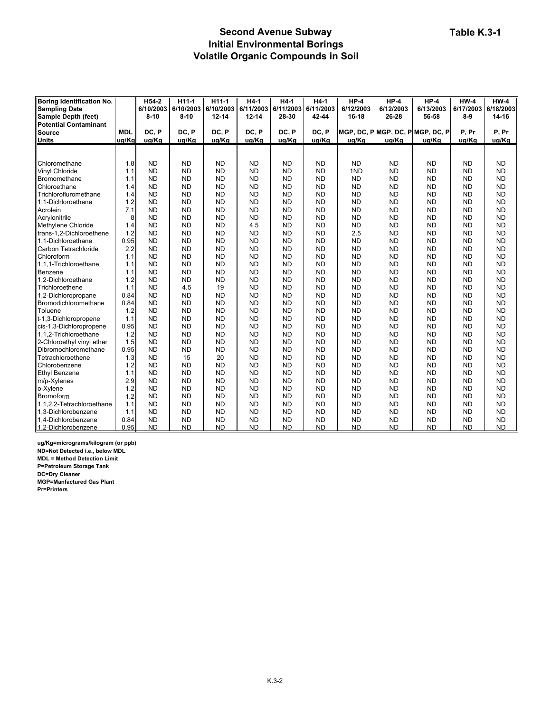#### **Second Avenue Subway Initial Environmental Borings Volatile Organic Compounds in Soil**

| <b>Boring Identification No.</b> |            | H54-2     | H11-1     | H <sub>11-1</sub> | $H4-1$    | $H4-1$    | $H4-1$    | $HP-4$    | $HP-4$    | $HP-4$                           | $HW-4$    | $HW-4$    |
|----------------------------------|------------|-----------|-----------|-------------------|-----------|-----------|-----------|-----------|-----------|----------------------------------|-----------|-----------|
| <b>Sampling Date</b>             |            | 6/10/2003 | 6/10/2003 | 6/10/2003         | 6/11/2003 | 6/11/2003 | 6/11/2003 | 6/12/2003 | 6/12/2003 | 6/13/2003                        | 6/17/2003 | 6/18/2003 |
| Sample Depth (feet)              |            | $8 - 10$  | $8 - 10$  | $12 - 14$         | $12 - 14$ | 28-30     | 42-44     | 16-18     | 26-28     | 56-58                            | $8-9$     | 14-16     |
| <b>Potential Contaminant</b>     |            |           |           |                   |           |           |           |           |           |                                  |           |           |
| <b>Source</b>                    | <b>MDL</b> | DC, P     | DC, P     | DC, P             | DC, P     | DC, P     | DC. P     |           |           | MGP. DC. PIMGP. DC. PIMGP. DC. P | P, Pr     | P, Pr     |
| <b>Units</b>                     | ug/Kg      | ug/Kg     | ug/Kg     | ug/Kg             | ug/Kg     | ug/Kg     | ug/Kg     | ug/Kg     | ug/Kg     | ug/Kg                            | ug/Kg     | ug/Kg     |
|                                  |            |           |           |                   |           |           |           |           |           |                                  |           |           |
|                                  |            |           |           |                   |           |           |           |           |           |                                  |           |           |
| Chloromethane                    | 1.8        | <b>ND</b> | <b>ND</b> | <b>ND</b>         | <b>ND</b> | <b>ND</b> | <b>ND</b> | <b>ND</b> | <b>ND</b> | <b>ND</b>                        | <b>ND</b> | <b>ND</b> |
| <b>Vinyl Chloride</b>            | 1.1        | <b>ND</b> | <b>ND</b> | <b>ND</b>         | <b>ND</b> | <b>ND</b> | <b>ND</b> | 1ND       | <b>ND</b> | <b>ND</b>                        | <b>ND</b> | <b>ND</b> |
| Bromomethane                     | 1.1        | <b>ND</b> | <b>ND</b> | <b>ND</b>         | <b>ND</b> | <b>ND</b> | <b>ND</b> | <b>ND</b> | <b>ND</b> | <b>ND</b>                        | <b>ND</b> | <b>ND</b> |
| Chloroethane                     | 1.4        | <b>ND</b> | <b>ND</b> | <b>ND</b>         | <b>ND</b> | <b>ND</b> | <b>ND</b> | <b>ND</b> | <b>ND</b> | <b>ND</b>                        | <b>ND</b> | <b>ND</b> |
| Trichlorofluromethane            | 1.4        | <b>ND</b> | <b>ND</b> | <b>ND</b>         | <b>ND</b> | <b>ND</b> | <b>ND</b> | <b>ND</b> | <b>ND</b> | <b>ND</b>                        | <b>ND</b> | <b>ND</b> |
| 1,1-Dichloroethene               | 1.2        | <b>ND</b> | <b>ND</b> | <b>ND</b>         | <b>ND</b> | <b>ND</b> | <b>ND</b> | <b>ND</b> | <b>ND</b> | <b>ND</b>                        | <b>ND</b> | <b>ND</b> |
| Acrolein                         | 7.1        | <b>ND</b> | <b>ND</b> | <b>ND</b>         | <b>ND</b> | <b>ND</b> | <b>ND</b> | <b>ND</b> | <b>ND</b> | <b>ND</b>                        | <b>ND</b> | <b>ND</b> |
| Acrylonitrile                    | 8          | <b>ND</b> | <b>ND</b> | <b>ND</b>         | <b>ND</b> | <b>ND</b> | <b>ND</b> | <b>ND</b> | <b>ND</b> | <b>ND</b>                        | <b>ND</b> | <b>ND</b> |
| Methylene Chloride               | 1.4        | <b>ND</b> | <b>ND</b> | <b>ND</b>         | 4.5       | <b>ND</b> | <b>ND</b> | <b>ND</b> | <b>ND</b> | <b>ND</b>                        | <b>ND</b> | <b>ND</b> |
| trans-1,2-Dichloroethene         | 1.2        | <b>ND</b> | <b>ND</b> | <b>ND</b>         | <b>ND</b> | <b>ND</b> | <b>ND</b> | 2.5       | <b>ND</b> | <b>ND</b>                        | <b>ND</b> | <b>ND</b> |
| 1,1-Dichloroethane               | 0.95       | <b>ND</b> | <b>ND</b> | <b>ND</b>         | <b>ND</b> | <b>ND</b> | <b>ND</b> | <b>ND</b> | <b>ND</b> | <b>ND</b>                        | <b>ND</b> | <b>ND</b> |
| Carbon Tetrachloride             | 2.2        | <b>ND</b> | <b>ND</b> | <b>ND</b>         | <b>ND</b> | <b>ND</b> | <b>ND</b> | <b>ND</b> | <b>ND</b> | <b>ND</b>                        | <b>ND</b> | <b>ND</b> |
| Chloroform                       | 1.1        | <b>ND</b> | <b>ND</b> | <b>ND</b>         | <b>ND</b> | <b>ND</b> | <b>ND</b> | <b>ND</b> | <b>ND</b> | <b>ND</b>                        | <b>ND</b> | <b>ND</b> |
| 1.1.1-Trichloroethane            | 1.1        | <b>ND</b> | <b>ND</b> | <b>ND</b>         | <b>ND</b> | <b>ND</b> | <b>ND</b> | <b>ND</b> | <b>ND</b> | <b>ND</b>                        | <b>ND</b> | <b>ND</b> |
| Benzene                          | 1.1        | <b>ND</b> | <b>ND</b> | <b>ND</b>         | <b>ND</b> | <b>ND</b> | <b>ND</b> | <b>ND</b> | <b>ND</b> | <b>ND</b>                        | <b>ND</b> | <b>ND</b> |
| 1,2-Dichloroethane               | 1.2        | <b>ND</b> | <b>ND</b> | <b>ND</b>         | <b>ND</b> | <b>ND</b> | <b>ND</b> | <b>ND</b> | <b>ND</b> | <b>ND</b>                        | <b>ND</b> | <b>ND</b> |
| Trichloroethene                  | 1.1        | <b>ND</b> | 4.5       | 19                | <b>ND</b> | <b>ND</b> | <b>ND</b> | <b>ND</b> | <b>ND</b> | <b>ND</b>                        | <b>ND</b> | <b>ND</b> |
| 1,2-Dichloropropane              | 0.84       | <b>ND</b> | <b>ND</b> | <b>ND</b>         | <b>ND</b> | <b>ND</b> | <b>ND</b> | <b>ND</b> | <b>ND</b> | <b>ND</b>                        | <b>ND</b> | <b>ND</b> |
| Bromodichloromethane             | 0.84       | <b>ND</b> | <b>ND</b> | <b>ND</b>         | <b>ND</b> | <b>ND</b> | <b>ND</b> | <b>ND</b> | <b>ND</b> | <b>ND</b>                        | <b>ND</b> | <b>ND</b> |
| Toluene                          | 1.2        | <b>ND</b> | <b>ND</b> | <b>ND</b>         | <b>ND</b> | <b>ND</b> | <b>ND</b> | <b>ND</b> | <b>ND</b> | <b>ND</b>                        | <b>ND</b> | <b>ND</b> |
| t-1,3-Dichloropropene            | 1.1        | <b>ND</b> | <b>ND</b> | <b>ND</b>         | <b>ND</b> | <b>ND</b> | <b>ND</b> | <b>ND</b> | <b>ND</b> | <b>ND</b>                        | <b>ND</b> | <b>ND</b> |
| cis-1,3-Dichloropropene          | 0.95       | <b>ND</b> | <b>ND</b> | <b>ND</b>         | <b>ND</b> | <b>ND</b> | <b>ND</b> | <b>ND</b> | <b>ND</b> | <b>ND</b>                        | <b>ND</b> | <b>ND</b> |
| 1,1,2-Trichloroethane            | 1.2        | <b>ND</b> | <b>ND</b> | <b>ND</b>         | <b>ND</b> | <b>ND</b> | <b>ND</b> | <b>ND</b> | <b>ND</b> | <b>ND</b>                        | <b>ND</b> | <b>ND</b> |
| 2-Chloroethyl vinyl ether        | 1.5        | <b>ND</b> | <b>ND</b> | <b>ND</b>         | <b>ND</b> | <b>ND</b> | <b>ND</b> | <b>ND</b> | <b>ND</b> | <b>ND</b>                        | <b>ND</b> | <b>ND</b> |
| Dibromochloromethane             | 0.95       | <b>ND</b> | <b>ND</b> | <b>ND</b>         | <b>ND</b> | <b>ND</b> | <b>ND</b> | <b>ND</b> | <b>ND</b> | <b>ND</b>                        | <b>ND</b> | <b>ND</b> |
| Tetrachloroethene                | 1.3        | <b>ND</b> | 15        | 20                | <b>ND</b> | <b>ND</b> | <b>ND</b> | <b>ND</b> | <b>ND</b> | <b>ND</b>                        | <b>ND</b> | <b>ND</b> |
| Chlorobenzene                    | 1.2        | <b>ND</b> | <b>ND</b> | <b>ND</b>         | <b>ND</b> | <b>ND</b> | <b>ND</b> | <b>ND</b> | <b>ND</b> | <b>ND</b>                        | <b>ND</b> | <b>ND</b> |
| <b>Ethyl Benzene</b>             | 1.1        | <b>ND</b> | <b>ND</b> | <b>ND</b>         | <b>ND</b> | <b>ND</b> | <b>ND</b> | <b>ND</b> | <b>ND</b> | <b>ND</b>                        | <b>ND</b> | <b>ND</b> |
| m/p-Xylenes                      | 2.9        | <b>ND</b> | <b>ND</b> | <b>ND</b>         | <b>ND</b> | <b>ND</b> | <b>ND</b> | <b>ND</b> | <b>ND</b> | <b>ND</b>                        | <b>ND</b> | <b>ND</b> |
| o-Xylene                         | 1.2        | <b>ND</b> | <b>ND</b> | <b>ND</b>         | <b>ND</b> | <b>ND</b> | <b>ND</b> | <b>ND</b> | <b>ND</b> | <b>ND</b>                        | <b>ND</b> | <b>ND</b> |
| Bromoform                        | 1.2        | <b>ND</b> | <b>ND</b> | <b>ND</b>         | <b>ND</b> | <b>ND</b> | <b>ND</b> | <b>ND</b> | <b>ND</b> | <b>ND</b>                        | <b>ND</b> | <b>ND</b> |
| 1,1,2,2-Tetrachloroethane        | 1.1        | <b>ND</b> | <b>ND</b> | <b>ND</b>         | <b>ND</b> | <b>ND</b> | <b>ND</b> | <b>ND</b> | <b>ND</b> | <b>ND</b>                        | <b>ND</b> | <b>ND</b> |
| 1.3-Dichlorobenzene              | 1.1        | <b>ND</b> | <b>ND</b> | <b>ND</b>         | <b>ND</b> | <b>ND</b> | <b>ND</b> | <b>ND</b> | <b>ND</b> | <b>ND</b>                        | <b>ND</b> | <b>ND</b> |
| 1,4-Dichlorobenzene              | 0.84       | <b>ND</b> | <b>ND</b> | <b>ND</b>         | <b>ND</b> | <b>ND</b> | <b>ND</b> | <b>ND</b> | <b>ND</b> | <b>ND</b>                        | <b>ND</b> | <b>ND</b> |
| 1,2-Dichlorobenzene              | 0.95       | <b>ND</b> | <b>ND</b> | <b>ND</b>         | <b>ND</b> | <b>ND</b> | <b>ND</b> | <b>ND</b> | <b>ND</b> | <b>ND</b>                        | <b>ND</b> | <b>ND</b> |

**ug/Kg=micrograms/kilogram (or ppb)**

**ND=Not Detected i.e., below MDL**

**MDL = Method Detection Limit**

**P=Petroleum Storage Tank**

**DC=Dry Cleaner**

**MGP=Manfactured Gas Plant Pr=Printers**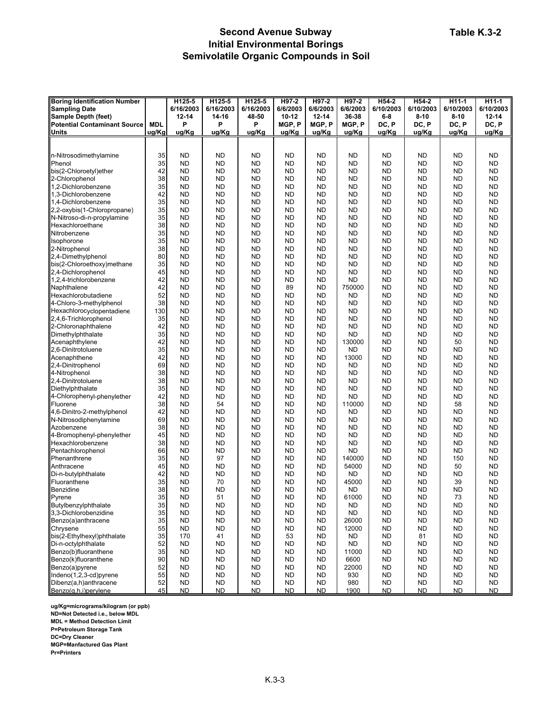# **Second Avenue Subway Initial Environmental Borings Semivolatile Organic Compounds in Soil**

| <b>Boring Identification Number</b> |            | H125-5    | H125-5    | H125-5    | H97-2     | H97-2     | H97-2     | H54-2     | H54-2     | H11-1     | H <sub>11-1</sub> |
|-------------------------------------|------------|-----------|-----------|-----------|-----------|-----------|-----------|-----------|-----------|-----------|-------------------|
| <b>Sampling Date</b>                |            | 6/16/2003 | 6/16/2003 | 6/16/2003 | 6/6/2003  | 6/6/2003  | 6/6/2003  | 6/10/2003 | 6/10/2003 | 6/10/2003 | 6/10/2003         |
| Sample Depth (feet)                 |            | 12-14     | 14-16     | 48-50     | $10 - 12$ | $12 - 14$ | 36-38     | $6-8$     | $8 - 10$  | $8 - 10$  | $12 - 14$         |
| <b>Potential Contaminant Source</b> | <b>MDL</b> | P         | P         | P         | MGP, P    | MGP, P    | MGP, P    | DC, P     | DC, P     | DC, P     | DC, P             |
| <b>Units</b>                        | ug/Kg      | ug/Kg     | ug/Kg     | ug/Kg     | ug/Kg     | ug/Kg     | ug/Kg     | ug/Kg     | ug/Kg     | ug/Kg     | ug/Kg             |
|                                     |            |           |           |           |           |           |           |           |           |           |                   |
|                                     |            |           |           |           |           |           |           |           |           |           |                   |
| n-Nitrosodimethylamine              | 35         | <b>ND</b> | <b>ND</b> | ND        | <b>ND</b> | <b>ND</b> | ND        | <b>ND</b> | <b>ND</b> | <b>ND</b> | <b>ND</b>         |
| Phenol                              | 35         | <b>ND</b> | <b>ND</b> | ND        | <b>ND</b> | <b>ND</b> | ND        | <b>ND</b> | <b>ND</b> | <b>ND</b> | <b>ND</b>         |
| bis(2-Chloroetyl)ether              | 42         | <b>ND</b> | <b>ND</b> | ND        | ND        | <b>ND</b> | ND        | ND        | <b>ND</b> | <b>ND</b> | <b>ND</b>         |
| 2-Chlorophenol                      | 38         | <b>ND</b> | <b>ND</b> | <b>ND</b> | <b>ND</b> | <b>ND</b> | <b>ND</b> | <b>ND</b> | <b>ND</b> | <b>ND</b> | <b>ND</b>         |
| 1,2-Dichlorobenzene                 | 35         | <b>ND</b> | <b>ND</b> | <b>ND</b> | <b>ND</b> | <b>ND</b> | <b>ND</b> | <b>ND</b> | <b>ND</b> | <b>ND</b> | <b>ND</b>         |
| 1,3-Dichlorobenzene                 | 42         | <b>ND</b> | <b>ND</b> | ND        | <b>ND</b> | <b>ND</b> | ND        | <b>ND</b> | <b>ND</b> | <b>ND</b> | <b>ND</b>         |
| 1,4-Dichlorobenzene                 | 35         | <b>ND</b> | <b>ND</b> | <b>ND</b> | <b>ND</b> | <b>ND</b> | ND        | <b>ND</b> | <b>ND</b> | <b>ND</b> | <b>ND</b>         |
| 2,2-oxybis(1-Chloropropane)         | 35         | <b>ND</b> | <b>ND</b> | ND        | <b>ND</b> | <b>ND</b> | ND        | <b>ND</b> | <b>ND</b> | <b>ND</b> | <b>ND</b>         |
|                                     | 35         | <b>ND</b> | <b>ND</b> | <b>ND</b> | <b>ND</b> | <b>ND</b> | <b>ND</b> | <b>ND</b> | <b>ND</b> | <b>ND</b> | <b>ND</b>         |
| N-Nitroso-di-n-propylamine          |            |           |           |           |           |           |           |           |           |           |                   |
| Hexachloroethane                    | 38         | <b>ND</b> | <b>ND</b> | ND        | ND        | <b>ND</b> | <b>ND</b> | <b>ND</b> | <b>ND</b> | <b>ND</b> | <b>ND</b>         |
| Nitrobenzene                        | 35         | <b>ND</b> | <b>ND</b> | <b>ND</b> | ND        | <b>ND</b> | ND        | ND        | <b>ND</b> | ND        | <b>ND</b>         |
| Isophorone                          | 35         | <b>ND</b> | <b>ND</b> | <b>ND</b> | <b>ND</b> | <b>ND</b> | <b>ND</b> | <b>ND</b> | <b>ND</b> | <b>ND</b> | <b>ND</b>         |
| 2-Nitrophenol                       | 38         | <b>ND</b> | <b>ND</b> | <b>ND</b> | <b>ND</b> | <b>ND</b> | <b>ND</b> | <b>ND</b> | <b>ND</b> | <b>ND</b> | <b>ND</b>         |
| 2,4-Dimethylphenol                  | 80         | <b>ND</b> | <b>ND</b> | ND        | <b>ND</b> | <b>ND</b> | <b>ND</b> | <b>ND</b> | <b>ND</b> | <b>ND</b> | <b>ND</b>         |
| bis(2-Chloroethoxy)methane          | 35         | <b>ND</b> | <b>ND</b> | ND        | ND        | <b>ND</b> | ND        | ND        | <b>ND</b> | <b>ND</b> | <b>ND</b>         |
| 2,4-Dichlorophenol                  | 45         | <b>ND</b> | <b>ND</b> | <b>ND</b> | <b>ND</b> | <b>ND</b> | <b>ND</b> | <b>ND</b> | <b>ND</b> | <b>ND</b> | <b>ND</b>         |
| 1,2,4-trichlorobenzene              | 42         | <b>ND</b> | <b>ND</b> | <b>ND</b> | <b>ND</b> | <b>ND</b> | ND        | <b>ND</b> | <b>ND</b> | <b>ND</b> | <b>ND</b>         |
| Naphthalene                         | 42         | <b>ND</b> | <b>ND</b> | <b>ND</b> | 89        | <b>ND</b> | 750000    | <b>ND</b> | <b>ND</b> | <b>ND</b> | <b>ND</b>         |
| Hexachlorobutadiene                 | 52         | ND        | <b>ND</b> | ND        | <b>ND</b> | <b>ND</b> | ND        | <b>ND</b> | <b>ND</b> | ND        | <b>ND</b>         |
| 4-Chloro-3-methylphenol             | 38         | <b>ND</b> | <b>ND</b> | <b>ND</b> | <b>ND</b> | <b>ND</b> | ND        | <b>ND</b> | <b>ND</b> | <b>ND</b> | <b>ND</b>         |
| Hexachlorocyclopentadiene           | 130        | <b>ND</b> | <b>ND</b> | <b>ND</b> | <b>ND</b> | <b>ND</b> | <b>ND</b> | <b>ND</b> | <b>ND</b> | <b>ND</b> | <b>ND</b>         |
| 2,4,6-Trichlorophenol               | 35         | <b>ND</b> | <b>ND</b> | ND        | <b>ND</b> | <b>ND</b> | ND        | <b>ND</b> | <b>ND</b> | <b>ND</b> | <b>ND</b>         |
| 2-Chloronaphthalene                 | 42         | <b>ND</b> | <b>ND</b> | ND        | <b>ND</b> | <b>ND</b> | ND        | <b>ND</b> | <b>ND</b> | <b>ND</b> | <b>ND</b>         |
| Dimethylphthalate                   | 35         | <b>ND</b> | <b>ND</b> | <b>ND</b> | <b>ND</b> | <b>ND</b> | ND        | <b>ND</b> | <b>ND</b> | <b>ND</b> | <b>ND</b>         |
| Acenaphthylene                      | 42         | <b>ND</b> | <b>ND</b> | <b>ND</b> | <b>ND</b> | <b>ND</b> | 130000    | <b>ND</b> | <b>ND</b> | 50        | <b>ND</b>         |
| 2,6-Dinitrotoluene                  | 35         | <b>ND</b> | <b>ND</b> | ND        | ND        | <b>ND</b> | <b>ND</b> | <b>ND</b> | <b>ND</b> | <b>ND</b> | <b>ND</b>         |
| Acenaphthene                        | 42         | <b>ND</b> | <b>ND</b> | <b>ND</b> | ND        | <b>ND</b> | 13000     | <b>ND</b> | <b>ND</b> | <b>ND</b> | <b>ND</b>         |
| 2,4-Dinitrophenol                   | 69         | <b>ND</b> | <b>ND</b> | ND        | ND        | <b>ND</b> | <b>ND</b> | ND        | <b>ND</b> | ND        | <b>ND</b>         |
| 4-Nitrophenol                       | 38         | <b>ND</b> | <b>ND</b> | <b>ND</b> | <b>ND</b> | <b>ND</b> | <b>ND</b> | <b>ND</b> | <b>ND</b> | <b>ND</b> | <b>ND</b>         |
| 2,4-Dinitrotoluene                  | 38         | <b>ND</b> | <b>ND</b> | <b>ND</b> | <b>ND</b> | <b>ND</b> | <b>ND</b> | <b>ND</b> | <b>ND</b> | <b>ND</b> | <b>ND</b>         |
| Diethylphthalate                    | 35         | <b>ND</b> | <b>ND</b> | ND        | <b>ND</b> | <b>ND</b> | <b>ND</b> | <b>ND</b> | <b>ND</b> | <b>ND</b> | <b>ND</b>         |
| 4-Chlorophenyl-phenylether          | 42         | <b>ND</b> | <b>ND</b> | <b>ND</b> | <b>ND</b> | <b>ND</b> | ND        | <b>ND</b> | <b>ND</b> | <b>ND</b> | <b>ND</b>         |
| Fluorene                            | 38         | <b>ND</b> |           |           | <b>ND</b> | <b>ND</b> | 110000    |           |           |           | <b>ND</b>         |
| 4,6-Dinitro-2-methylphenol          | 42         |           | 54        | ND        |           |           |           | <b>ND</b> | <b>ND</b> | 58        |                   |
|                                     |            | <b>ND</b> | <b>ND</b> | <b>ND</b> | <b>ND</b> | <b>ND</b> | <b>ND</b> | <b>ND</b> | <b>ND</b> | <b>ND</b> | <b>ND</b>         |
| N-Nitrosodiphenylamine              | 69         | <b>ND</b> | <b>ND</b> | ND        | ND        | <b>ND</b> | <b>ND</b> | <b>ND</b> | <b>ND</b> | ND        | <b>ND</b>         |
| Azobenzene                          | 38         | <b>ND</b> | <b>ND</b> | <b>ND</b> | ND        | <b>ND</b> | ND        | ND        | <b>ND</b> | ND        | <b>ND</b>         |
| 4-Bromophenyl-phenylether           | 45         | <b>ND</b> | <b>ND</b> | <b>ND</b> | <b>ND</b> | <b>ND</b> | <b>ND</b> | <b>ND</b> | <b>ND</b> | <b>ND</b> | <b>ND</b>         |
| Hexachlorobenzene                   | 38         | <b>ND</b> | <b>ND</b> | <b>ND</b> | <b>ND</b> | <b>ND</b> | <b>ND</b> | <b>ND</b> | <b>ND</b> | <b>ND</b> | <b>ND</b>         |
| Pentachlorophenol                   | 66         | <b>ND</b> | <b>ND</b> | ND        | <b>ND</b> | <b>ND</b> | <b>ND</b> | <b>ND</b> | <b>ND</b> | <b>ND</b> | <b>ND</b>         |
| Phenanthrene                        | 35         | <b>ND</b> | 97        | ND        | ND        | <b>ND</b> | 140000    | <b>ND</b> | <b>ND</b> | 150       | <b>ND</b>         |
| Anthracene                          | 45         | <b>ND</b> | <b>ND</b> | <b>ND</b> | <b>ND</b> | <b>ND</b> | 54000     | <b>ND</b> | <b>ND</b> | 50        | <b>ND</b>         |
| Di-n-butylphthalate                 | 42         | <b>ND</b> | <b>ND</b> | <b>ND</b> | <b>ND</b> | <b>ND</b> | <b>ND</b> | <b>ND</b> | <b>ND</b> | <b>ND</b> | <b>ND</b>         |
| Fluoranthene                        | 35         | <b>ND</b> | 70        | <b>ND</b> | <b>ND</b> | <b>ND</b> | 45000     | <b>ND</b> | <b>ND</b> | 39        | <b>ND</b>         |
| Benzidine                           | 38         | <b>ND</b> | <b>ND</b> | <b>ND</b> | ND        | <b>ND</b> | ND        | <b>ND</b> | <b>ND</b> | ND        | <b>ND</b>         |
| Pyrene                              | 35         | ND        | 51        | <b>ND</b> | <b>ND</b> | <b>ND</b> | 61000     | ND.       | <b>ND</b> | 73        | <b>ND</b>         |
| Butylbenzylphthalate                | 35         | <b>ND</b> | ND        | ND        | <b>ND</b> | <b>ND</b> | <b>ND</b> | <b>ND</b> | <b>ND</b> | <b>ND</b> | <b>ND</b>         |
| 3,3-Dichlorobenzidine               | 35         | <b>ND</b> | ND        | ND        | <b>ND</b> | ND        | ND        | ND.       | <b>ND</b> | ND        | <b>ND</b>         |
| Benzo(a)anthracene                  | 35         | <b>ND</b> | <b>ND</b> | <b>ND</b> | <b>ND</b> | ND        | 26000     | ND        | <b>ND</b> | ND        | <b>ND</b>         |
| Chrysene                            | 55         | <b>ND</b> | <b>ND</b> | <b>ND</b> | <b>ND</b> | ND        | 12000     | ND.       | <b>ND</b> | ND        | <b>ND</b>         |
| bis(2-Ethylhexyl)phthalate          | 35         | 170       | 41        | ND        | 53        | <b>ND</b> | <b>ND</b> | <b>ND</b> | 81        | <b>ND</b> | <b>ND</b>         |
| Di-n-octylphthalate                 | 52         | <b>ND</b> | ND        | <b>ND</b> | <b>ND</b> | ND        | ND        | ND.       | <b>ND</b> | ND        | <b>ND</b>         |
| Benzo(b)fluoranthene                | 35         | <b>ND</b> | <b>ND</b> | <b>ND</b> | ND        | <b>ND</b> | 11000     | <b>ND</b> | <b>ND</b> | <b>ND</b> | <b>ND</b>         |
| Benzo(k)fluoranthene                | 90         | <b>ND</b> | <b>ND</b> | <b>ND</b> | ND        | ND        | 6600      | ND        | <b>ND</b> | ND        | <b>ND</b>         |
| Benzo(a)pyrene                      | 52         | <b>ND</b> | <b>ND</b> | <b>ND</b> | ND        | ND        | 22000     | <b>ND</b> | <b>ND</b> | <b>ND</b> | <b>ND</b>         |
| Indeno(1,2,3-cd)pyrene              | 55         | <b>ND</b> | <b>ND</b> | <b>ND</b> | <b>ND</b> | ND        | 930       | ND.       | <b>ND</b> | <b>ND</b> | <b>ND</b>         |
| Dibenz(a,h)anthracene               | 52         | <b>ND</b> | <b>ND</b> | ND        | <b>ND</b> | <b>ND</b> | 980       | <b>ND</b> | <b>ND</b> | <b>ND</b> | <b>ND</b>         |
| Benzo(g,h,i)perylene                | 45         | ND.       | <b>ND</b> | ND        | <b>ND</b> | <b>ND</b> | 1900      | <b>ND</b> | <b>ND</b> | <b>ND</b> | <b>ND</b>         |

**ug/Kg=micrograms/kilogram (or ppb)**

**ND=Not Detected i.e., below MDL**

**MDL = Method Detection Limit P=Petroleum Storage Tank**

**DC=Dry Cleaner**

**MGP=Manfactured Gas Plant**

**Pr=Printers**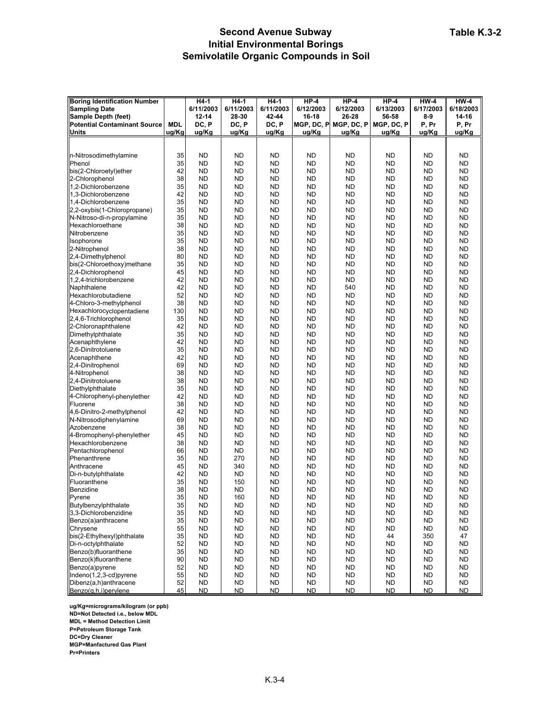# **Second Avenue Subway Initial Environmental Borings Semivolatile Organic Compounds in Soil**

| <b>Boring Identification Number</b> |            | H4-1      | H4-1      | $H4-1$    | $HP-4$     | $HP-4$     | $HP-4$     | $HW-4$    | $HW-4$    |
|-------------------------------------|------------|-----------|-----------|-----------|------------|------------|------------|-----------|-----------|
| <b>Sampling Date</b>                |            | 6/11/2003 | 6/11/2003 | 6/11/2003 | 6/12/2003  | 6/12/2003  | 6/13/2003  | 6/17/2003 | 6/18/2003 |
|                                     |            | $12 - 14$ | 28-30     | 42-44     |            | 26-28      |            |           | 14-16     |
| Sample Depth (feet)                 |            |           |           |           | 16-18      |            | 56-58      | $8-9$     |           |
| <b>Potential Contaminant Source</b> | <b>MDL</b> | DC, P     | DC, P     | DC, P     | MGP, DC, P | MGP, DC, P | MGP, DC, P | P, Pr     | P, Pr     |
| <b>Units</b>                        | ug/Kg      | ug/Kg     | ug/Kg     | ug/Kg     | ug/Kg      | ug/Kg      | ug/Kg      | ug/Kg     | ug/Kg     |
|                                     |            |           |           |           |            |            |            |           |           |
|                                     |            |           |           |           |            |            |            |           |           |
| n-Nitrosodimethylamine              | 35         | <b>ND</b> | <b>ND</b> | <b>ND</b> | <b>ND</b>  | <b>ND</b>  | <b>ND</b>  | <b>ND</b> | <b>ND</b> |
| Phenol                              | 35         | <b>ND</b> | <b>ND</b> | <b>ND</b> | <b>ND</b>  | <b>ND</b>  | <b>ND</b>  | <b>ND</b> | <b>ND</b> |
| bis(2-Chloroetyl)ether              | 42         | ND        | <b>ND</b> | <b>ND</b> | <b>ND</b>  | <b>ND</b>  | <b>ND</b>  | <b>ND</b> | <b>ND</b> |
| 2-Chlorophenol                      | 38         | ND        | <b>ND</b> | <b>ND</b> | <b>ND</b>  | <b>ND</b>  | <b>ND</b>  | <b>ND</b> | <b>ND</b> |
| 1,2-Dichlorobenzene                 | 35         | <b>ND</b> | <b>ND</b> | <b>ND</b> | <b>ND</b>  | <b>ND</b>  | <b>ND</b>  | <b>ND</b> | <b>ND</b> |
| 1.3-Dichlorobenzene                 | 42         | ND        | <b>ND</b> | <b>ND</b> | <b>ND</b>  | <b>ND</b>  | <b>ND</b>  | <b>ND</b> | <b>ND</b> |
| 1,4-Dichlorobenzene                 | 35         | ND        | <b>ND</b> | <b>ND</b> | <b>ND</b>  | <b>ND</b>  | <b>ND</b>  | <b>ND</b> | <b>ND</b> |
|                                     |            |           |           |           |            |            |            |           |           |
| 2,2-oxybis(1-Chloropropane)         | 35         | ND        | <b>ND</b> | <b>ND</b> | <b>ND</b>  | <b>ND</b>  | <b>ND</b>  | ND        | <b>ND</b> |
| N-Nitroso-di-n-propylamine          | 35         | ND        | <b>ND</b> | <b>ND</b> | <b>ND</b>  | <b>ND</b>  | <b>ND</b>  | <b>ND</b> | <b>ND</b> |
| Hexachloroethane                    | 38         | ND        | <b>ND</b> | <b>ND</b> | <b>ND</b>  | <b>ND</b>  | <b>ND</b>  | <b>ND</b> | <b>ND</b> |
| Nitrobenzene                        | 35         | ND        | <b>ND</b> | <b>ND</b> | <b>ND</b>  | <b>ND</b>  | <b>ND</b>  | <b>ND</b> | <b>ND</b> |
| Isophorone                          | 35         | ND        | <b>ND</b> | <b>ND</b> | <b>ND</b>  | <b>ND</b>  | <b>ND</b>  | <b>ND</b> | <b>ND</b> |
| 2-Nitrophenol                       | 38         | ND        | <b>ND</b> | <b>ND</b> | <b>ND</b>  | <b>ND</b>  | <b>ND</b>  | <b>ND</b> | <b>ND</b> |
| 2,4-Dimethylphenol                  | 80         | ND        | <b>ND</b> | <b>ND</b> | <b>ND</b>  | <b>ND</b>  | <b>ND</b>  | <b>ND</b> | <b>ND</b> |
| bis(2-Chloroethoxy)methane          | 35         | ND        | <b>ND</b> | <b>ND</b> | <b>ND</b>  | <b>ND</b>  | <b>ND</b>  | <b>ND</b> | <b>ND</b> |
| 2,4-Dichlorophenol                  | 45         | ND        | <b>ND</b> | ND        | <b>ND</b>  | <b>ND</b>  | <b>ND</b>  | <b>ND</b> | <b>ND</b> |
| 1,2,4-trichlorobenzene              | 42         | <b>ND</b> | <b>ND</b> | <b>ND</b> | <b>ND</b>  | <b>ND</b>  | <b>ND</b>  | <b>ND</b> | <b>ND</b> |
| Naphthalene                         | 42         | ND        | <b>ND</b> | <b>ND</b> | <b>ND</b>  | 540        | <b>ND</b>  | <b>ND</b> | <b>ND</b> |
|                                     |            |           |           |           |            |            |            |           |           |
| Hexachlorobutadiene                 | 52         | ND        | <b>ND</b> | <b>ND</b> | <b>ND</b>  | <b>ND</b>  | <b>ND</b>  | <b>ND</b> | <b>ND</b> |
| 4-Chloro-3-methylphenol             | 38         | ND        | <b>ND</b> | <b>ND</b> | <b>ND</b>  | <b>ND</b>  | <b>ND</b>  | <b>ND</b> | <b>ND</b> |
| Hexachlorocyclopentadiene           | 130        | <b>ND</b> | <b>ND</b> | <b>ND</b> | <b>ND</b>  | <b>ND</b>  | <b>ND</b>  | <b>ND</b> | <b>ND</b> |
| 2,4,6-Trichlorophenol               | 35         | ND        | <b>ND</b> | <b>ND</b> | <b>ND</b>  | <b>ND</b>  | <b>ND</b>  | <b>ND</b> | <b>ND</b> |
| 2-Chloronaphthalene                 | 42         | ND        | <b>ND</b> | <b>ND</b> | <b>ND</b>  | <b>ND</b>  | <b>ND</b>  | <b>ND</b> | <b>ND</b> |
| Dimethylphthalate                   | 35         | ND        | <b>ND</b> | <b>ND</b> | <b>ND</b>  | <b>ND</b>  | <b>ND</b>  | ND        | <b>ND</b> |
| Acenaphthylene                      | 42         | ND        | <b>ND</b> | <b>ND</b> | <b>ND</b>  | <b>ND</b>  | <b>ND</b>  | <b>ND</b> | <b>ND</b> |
| 2,6-Dinitrotoluene                  | 35         | ND        | <b>ND</b> | <b>ND</b> | <b>ND</b>  | <b>ND</b>  | <b>ND</b>  | <b>ND</b> | <b>ND</b> |
| Acenaphthene                        | 42         | <b>ND</b> | <b>ND</b> | <b>ND</b> | <b>ND</b>  | <b>ND</b>  | <b>ND</b>  | <b>ND</b> | <b>ND</b> |
| 2,4-Dinitrophenol                   | 69         | ND        | <b>ND</b> | <b>ND</b> | <b>ND</b>  | <b>ND</b>  | <b>ND</b>  | <b>ND</b> | <b>ND</b> |
| 4-Nitrophenol                       | 38         | ND        | <b>ND</b> | <b>ND</b> | <b>ND</b>  | <b>ND</b>  | <b>ND</b>  | <b>ND</b> | <b>ND</b> |
|                                     |            |           |           |           |            |            |            |           |           |
| 2,4-Dinitrotoluene                  | 38         | <b>ND</b> | <b>ND</b> | <b>ND</b> | <b>ND</b>  | <b>ND</b>  | <b>ND</b>  | <b>ND</b> | <b>ND</b> |
| Diethylphthalate                    | 35         | ND        | <b>ND</b> | <b>ND</b> | <b>ND</b>  | <b>ND</b>  | <b>ND</b>  | <b>ND</b> | <b>ND</b> |
| 4-Chlorophenyl-phenylether          | 42         | ND        | <b>ND</b> | <b>ND</b> | <b>ND</b>  | <b>ND</b>  | <b>ND</b>  | <b>ND</b> | <b>ND</b> |
| Fluorene                            | 38         | ND        | <b>ND</b> | <b>ND</b> | <b>ND</b>  | <b>ND</b>  | <b>ND</b>  | ND        | <b>ND</b> |
| 4,6-Dinitro-2-methylphenol          | 42         | ND        | <b>ND</b> | <b>ND</b> | <b>ND</b>  | <b>ND</b>  | <b>ND</b>  | <b>ND</b> | <b>ND</b> |
| N-Nitrosodiphenylamine              | 69         | ND        | <b>ND</b> | <b>ND</b> | <b>ND</b>  | <b>ND</b>  | <b>ND</b>  | <b>ND</b> | <b>ND</b> |
| Azobenzene                          | 38         | ND        | <b>ND</b> | <b>ND</b> | <b>ND</b>  | <b>ND</b>  | <b>ND</b>  | <b>ND</b> | <b>ND</b> |
| 4-Bromophenyl-phenylether           | 45         | ND        | <b>ND</b> | <b>ND</b> | <b>ND</b>  | <b>ND</b>  | <b>ND</b>  | <b>ND</b> | <b>ND</b> |
| Hexachlorobenzene                   | 38         | ND        | <b>ND</b> | <b>ND</b> | <b>ND</b>  | <b>ND</b>  | <b>ND</b>  | <b>ND</b> | <b>ND</b> |
| Pentachlorophenol                   | 66         | ND        | <b>ND</b> | <b>ND</b> | <b>ND</b>  | <b>ND</b>  | <b>ND</b>  | <b>ND</b> | <b>ND</b> |
| Phenanthrene                        | 35         | ND        | 270       | <b>ND</b> | <b>ND</b>  | <b>ND</b>  | <b>ND</b>  | <b>ND</b> | <b>ND</b> |
| Anthracene                          | 45         | ND        | 340       | ND        | <b>ND</b>  | <b>ND</b>  | <b>ND</b>  | ND        | <b>ND</b> |
| Di-n-butylphthalate                 | 42         | <b>ND</b> | <b>ND</b> | <b>ND</b> | <b>ND</b>  | <b>ND</b>  | <b>ND</b>  | <b>ND</b> | <b>ND</b> |
| Fluoranthene                        | 35         | ND        | 150       | <b>ND</b> | <b>ND</b>  | <b>ND</b>  | <b>ND</b>  | <b>ND</b> | <b>ND</b> |
|                                     |            |           |           |           |            |            |            |           |           |
| Benzidine                           | 38         | ND        | <b>ND</b> | <b>ND</b> | <b>ND</b>  | <b>ND</b>  | <b>ND</b>  | <b>ND</b> | <b>ND</b> |
| Pyrene                              | 35         | ND        | 160       | <b>ND</b> | <b>ND</b>  | ND         | <b>ND</b>  | ND        | <b>ND</b> |
| Butylbenzylphthalate                | 35         | <b>ND</b> | <b>ND</b> | <b>ND</b> | <b>ND</b>  | <b>ND</b>  | <b>ND</b>  | <b>ND</b> | <b>ND</b> |
| 3,3-Dichlorobenzidine               | 35         | <b>ND</b> | ND        | <b>ND</b> | <b>ND</b>  | <b>ND</b>  | <b>ND</b>  | <b>ND</b> | ND.       |
| Benzo(a)anthracene                  | 35         | ND        | ND        | <b>ND</b> | <b>ND</b>  | <b>ND</b>  | <b>ND</b>  | <b>ND</b> | <b>ND</b> |
| Chrysene                            | 55         | ND        | ND        | <b>ND</b> | <b>ND</b>  | <b>ND</b>  | <b>ND</b>  | <b>ND</b> | ND.       |
| bis(2-Ethylhexyl)phthalate          | 35         | <b>ND</b> | <b>ND</b> | <b>ND</b> | <b>ND</b>  | <b>ND</b>  | 44         | 350       | 47        |
| Di-n-octylphthalate                 | 52         | <b>ND</b> | <b>ND</b> | <b>ND</b> | <b>ND</b>  | <b>ND</b>  | <b>ND</b>  | <b>ND</b> | <b>ND</b> |
| Benzo(b)fluoranthene                | 35         | <b>ND</b> | <b>ND</b> | <b>ND</b> | <b>ND</b>  | <b>ND</b>  | <b>ND</b>  | <b>ND</b> | ND        |
| Benzo(k)fluoranthene                | 90         | <b>ND</b> | <b>ND</b> | <b>ND</b> | <b>ND</b>  | <b>ND</b>  | <b>ND</b>  | <b>ND</b> | ND.       |
| Benzo(a)pyrene                      | 52         | ND        | ND        | <b>ND</b> | <b>ND</b>  | <b>ND</b>  | <b>ND</b>  | <b>ND</b> | ND.       |
| Indeno(1,2,3-cd)pyrene              | 55         | <b>ND</b> | ND        | <b>ND</b> | <b>ND</b>  | <b>ND</b>  | <b>ND</b>  | <b>ND</b> | ND.       |
|                                     |            |           |           |           |            |            |            |           |           |
| Dibenz(a,h)anthracene               | 52         | <b>ND</b> | <b>ND</b> | <b>ND</b> | <b>ND</b>  | <b>ND</b>  | <b>ND</b>  | <b>ND</b> | <b>ND</b> |
| Benzo(g,h,i)perylene                | 45         | ND        | <b>ND</b> | <b>ND</b> | <b>ND</b>  | <b>ND</b>  | <b>ND</b>  | <b>ND</b> | <b>ND</b> |

**ug/Kg=micrograms/kilogram (or ppb)**

**ND=Not Detected i.e., below MDL**

**MDL = Method Detection Limit**

**P=Petroleum Storage Tank**

**DC=Dry Cleaner**

**MGP=Manfactured Gas Plant**

**Pr=Printers**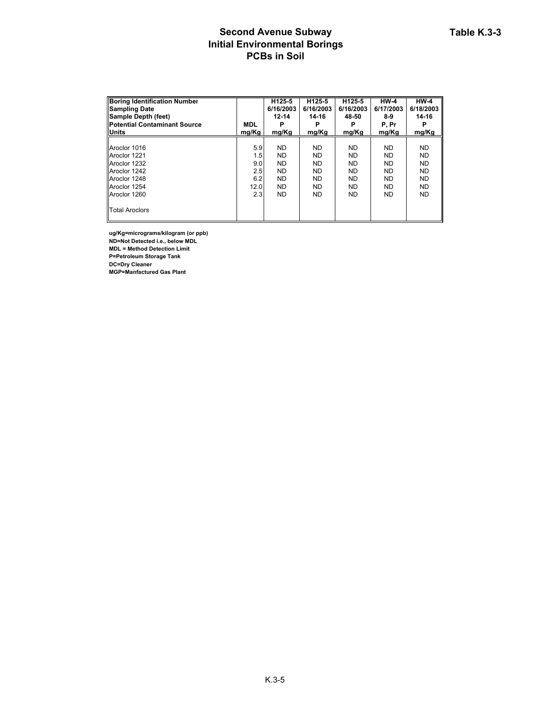### **Second Avenue Subway Initial Environmental Borings PCBs in Soil**

| <b>Boring Identification Number</b><br><b>Sampling Date</b> |            | H <sub>125-5</sub><br>6/16/2003 | H125-5<br>6/16/2003 | H125-5<br>6/16/2003 | $HW-4$<br>6/17/2003 | $HW-4$<br>6/18/2003 |
|-------------------------------------------------------------|------------|---------------------------------|---------------------|---------------------|---------------------|---------------------|
| Sample Depth (feet)                                         |            | $12 - 14$                       | 14-16               | 48-50               | 8-9                 | 14-16               |
| <b>IPotential Contaminant Source</b>                        | <b>MDL</b> |                                 |                     |                     | P, Pr               |                     |
| <b>Units</b>                                                | mg/Kg      | mg/Kg                           | mg/Kg               | mg/Kg               | mg/Kg               | mg/Kg               |
|                                                             |            |                                 |                     |                     |                     |                     |
| Aroclor 1016                                                | 5.9        | ND.                             | <b>ND</b>           | <b>ND</b>           | <b>ND</b>           | <b>ND</b>           |
| Aroclor 1221                                                | 1.5        | <b>ND</b>                       | ND.                 | <b>ND</b>           | <b>ND</b>           | <b>ND</b>           |
| Aroclor 1232                                                | 9.0        | <b>ND</b>                       | <b>ND</b>           | <b>ND</b>           | <b>ND</b>           | <b>ND</b>           |
| Aroclor 1242                                                | 2.5        | ND.                             | ND.                 | <b>ND</b>           | <b>ND</b>           | <b>ND</b>           |
| Aroclor 1248                                                | 6.2        | <b>ND</b>                       | <b>ND</b>           | <b>ND</b>           | <b>ND</b>           | <b>ND</b>           |
| Aroclor 1254                                                | 12.0       | <b>ND</b>                       | <b>ND</b>           | <b>ND</b>           | <b>ND</b>           | <b>ND</b>           |
| Aroclor 1260                                                | 2.3        | ND.                             | ND.                 | <b>ND</b>           | <b>ND</b>           | <b>ND</b>           |
| <b>Total Aroclors</b>                                       |            |                                 |                     |                     |                     |                     |

**ug/Kg=micrograms/kilogram (or ppb) ND=Not Detected i.e., below MDL MDL = Method Detection Limit**

**P=Petroleum Storage Tank**

**DC=Dry Cleaner**

**MGP=Manfactured Gas Plant**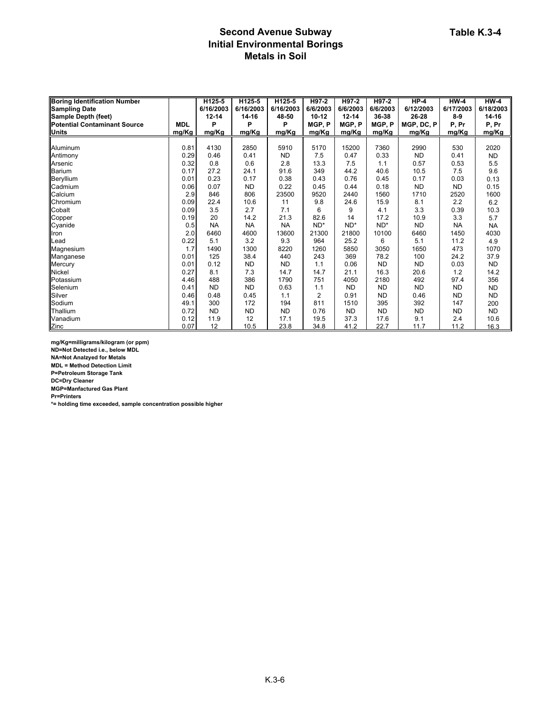# **Second Avenue Subway Initial Environmental Borings Metals in Soil**

| <b>Boring Identification Number</b> |            | H125-5    | H125-5    | H125-5    | H97-2          | H97-2     | H97-2     | $HP-4$     | $HW-4$    | <b>HW-4</b> |
|-------------------------------------|------------|-----------|-----------|-----------|----------------|-----------|-----------|------------|-----------|-------------|
| <b>Sampling Date</b>                |            | 6/16/2003 | 6/16/2003 | 6/16/2003 | 6/6/2003       | 6/6/2003  | 6/6/2003  | 6/12/2003  | 6/17/2003 | 6/18/2003   |
| Sample Depth (feet)                 |            | $12 - 14$ | 14-16     | 48-50     | $10 - 12$      | $12 - 14$ | 36-38     | 26-28      | $8-9$     | 14-16       |
| Potential Contaminant Source        | <b>MDL</b> | P         | P         | P         | MGP, P         | MGP, P    | MGP.P     | MGP, DC, P | P, Pr     | P, Pr       |
| <b>Units</b>                        | mg/Kg      | mg/Kg     | mg/Kg     | mg/Kg     | mg/Kg          | mg/Kg     | mg/Kg     | mg/Kg      | mg/Kg     | mg/Kg       |
|                                     |            |           |           |           |                |           |           |            |           |             |
| Aluminum                            | 0.81       | 4130      | 2850      | 5910      | 5170           | 15200     | 7360      | 2990       | 530       | 2020        |
| Antimony                            | 0.29       | 0.46      | 0.41      | <b>ND</b> | 7.5            | 0.47      | 0.33      | <b>ND</b>  | 0.41      | <b>ND</b>   |
| Arsenic                             | 0.32       | 0.8       | 0.6       | 2.8       | 13.3           | 7.5       | 1.1       | 0.57       | 0.53      | 5.5         |
| Barium                              | 0.17       | 27.2      | 24.1      | 91.6      | 349            | 44.2      | 40.6      | 10.5       | 7.5       | 9.6         |
| Beryllium                           | 0.01       | 0.23      | 0.17      | 0.38      | 0.43           | 0.76      | 0.45      | 0.17       | 0.03      | 0.13        |
| Cadmium                             | 0.06       | 0.07      | <b>ND</b> | 0.22      | 0.45           | 0.44      | 0.18      | <b>ND</b>  | <b>ND</b> | 0.15        |
| Calcium                             | 2.9        | 846       | 806       | 23500     | 9520           | 2440      | 1560      | 1710       | 2520      | 1600        |
| Chromium                            | 0.09       | 22.4      | 10.6      | 11        | 9.8            | 24.6      | 15.9      | 8.1        | 2.2       | 6.2         |
| Cobalt                              | 0.09       | 3.5       | 2.7       | 7.1       | 6              | 9         | 4.1       | 3.3        | 0.39      | 10.3        |
| Copper                              | 0.19       | 20        | 14.2      | 21.3      | 82.6           | 14        | 17.2      | 10.9       | 3.3       | 5.7         |
| Cyanide                             | 0.5        | <b>NA</b> | <b>NA</b> | <b>NA</b> | ND*            | $ND^*$    | $ND^*$    | <b>ND</b>  | <b>NA</b> | <b>NA</b>   |
| Iron                                | 2.0        | 6460      | 4600      | 13600     | 21300          | 21800     | 10100     | 6460       | 1450      | 4030        |
| <b>ILead</b>                        | 0.22       | 5.1       | 3.2       | 9.3       | 964            | 25.2      | 6         | 5.1        | 11.2      | 4.9         |
| Magnesium                           | 1.7        | 1490      | 1300      | 8220      | 1260           | 5850      | 3050      | 1650       | 473       | 1070        |
| Manganese                           | 0.01       | 125       | 38.4      | 440       | 243            | 369       | 78.2      | 100        | 24.2      | 37.9        |
| Mercury                             | 0.01       | 0.12      | <b>ND</b> | <b>ND</b> | 1.1            | 0.06      | <b>ND</b> | <b>ND</b>  | 0.03      | <b>ND</b>   |
| <b>Nickel</b>                       | 0.27       | 8.1       | 7.3       | 14.7      | 14.7           | 21.1      | 16.3      | 20.6       | 1.2       | 14.2        |
| Potassium                           | 4.46       | 488       | 386       | 1790      | 751            | 4050      | 2180      | 492        | 97.4      | 356         |
| Selenium                            | 0.41       | <b>ND</b> | <b>ND</b> | 0.63      | 1.1            | <b>ND</b> | <b>ND</b> | <b>ND</b>  | <b>ND</b> | <b>ND</b>   |
| Silver                              | 0.46       | 0.48      | 0.45      | 1.1       | $\overline{2}$ | 0.91      | <b>ND</b> | 0.46       | <b>ND</b> | <b>ND</b>   |
| Sodium                              | 49.1       | 300       | 172       | 194       | 811            | 1510      | 395       | 392        | 147       | 200         |
| Thallium                            | 0.72       | <b>ND</b> | <b>ND</b> | <b>ND</b> | 0.76           | <b>ND</b> | <b>ND</b> | <b>ND</b>  | <b>ND</b> | <b>ND</b>   |
| Vanadium                            | 0.12       | 11.9      | 12        | 17.1      | 19.5           | 37.3      | 17.6      | 9.1        | 2.4       | 10.6        |
| Zinc                                | 0.07       | 12        | 10.5      | 23.8      | 34.8           | 41.2      | 22.7      | 11.7       | 11.2      | 16.3        |

**mg/Kg=milligrams/kilogram (or ppm)**

**ND=Not Detected i.e., below MDL**

**NA=Not Analzyed for Metals**

**MDL = Method Detection Limit**

**P=Petroleum Storage Tank**

**DC=Dry Cleaner**

**MGP=Manfactured Gas Plant**

**Pr=Printers**

**\*= holding time exceeded, sample concentration possible higher**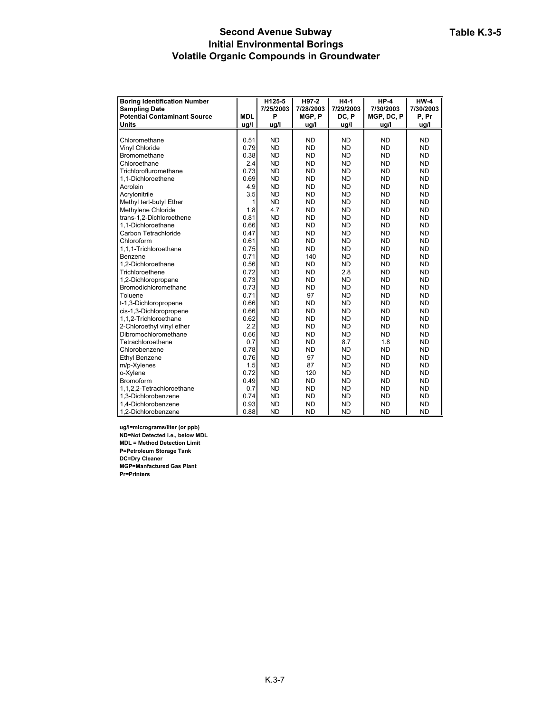#### **Second Avenue Subway Initial Environmental Borings Volatile Organic Compounds in Groundwater**

| <b>Boring Identification Number</b> |            | H125-5    | H97-2     | $H4-1$    | $HP-4$     | $HW-4$    |
|-------------------------------------|------------|-----------|-----------|-----------|------------|-----------|
| <b>Sampling Date</b>                |            | 7/25/2003 | 7/28/2003 | 7/29/2003 | 7/30/2003  | 7/30/2003 |
| <b>Potential Contaminant Source</b> | <b>MDL</b> | P         | MGP, P    | DC, P     | MGP, DC, P | P. Pr     |
| Units                               | ug/l       | ug/l      | ug/l      | ug/l      | ug/l       | ug/l      |
|                                     |            |           |           |           |            |           |
| Chloromethane                       | 0.51       | <b>ND</b> | <b>ND</b> | <b>ND</b> | <b>ND</b>  | <b>ND</b> |
| Vinyl Chloride                      | 0.79       | <b>ND</b> | <b>ND</b> | <b>ND</b> | <b>ND</b>  | <b>ND</b> |
| <b>Bromomethane</b>                 | 0.38       | <b>ND</b> | <b>ND</b> | <b>ND</b> | <b>ND</b>  | <b>ND</b> |
| Chloroethane                        | 2.4        | <b>ND</b> | <b>ND</b> | <b>ND</b> | <b>ND</b>  | <b>ND</b> |
| Trichlorofluromethane               | 0.73       | <b>ND</b> | <b>ND</b> | <b>ND</b> | <b>ND</b>  | <b>ND</b> |
| 1,1-Dichloroethene                  | 0.69       | <b>ND</b> | <b>ND</b> | <b>ND</b> | <b>ND</b>  | <b>ND</b> |
| Acrolein                            | 4.9        | <b>ND</b> | <b>ND</b> | <b>ND</b> | <b>ND</b>  | <b>ND</b> |
| Acrylonitrile                       | 3.5        | <b>ND</b> | <b>ND</b> | <b>ND</b> | <b>ND</b>  | <b>ND</b> |
| Methyl tert-butyl Ether             | 1          | <b>ND</b> | <b>ND</b> | <b>ND</b> | <b>ND</b>  | <b>ND</b> |
| Methylene Chloride                  | 1.8        | 4.7       | <b>ND</b> | <b>ND</b> | <b>ND</b>  | <b>ND</b> |
| trans-1,2-Dichloroethene            | 0.81       | <b>ND</b> | <b>ND</b> | <b>ND</b> | <b>ND</b>  | <b>ND</b> |
| 1,1-Dichloroethane                  | 0.66       | <b>ND</b> | <b>ND</b> | <b>ND</b> | <b>ND</b>  | <b>ND</b> |
| Carbon Tetrachloride                | 0.47       | <b>ND</b> | <b>ND</b> | <b>ND</b> | <b>ND</b>  | <b>ND</b> |
| Chloroform                          | 0.61       | <b>ND</b> | <b>ND</b> | <b>ND</b> | <b>ND</b>  | <b>ND</b> |
| 1,1,1-Trichloroethane               | 0.75       | <b>ND</b> | <b>ND</b> | <b>ND</b> | <b>ND</b>  | <b>ND</b> |
| Benzene                             | 0.71       | <b>ND</b> | 140       | <b>ND</b> | <b>ND</b>  | <b>ND</b> |
| 1,2-Dichloroethane                  | 0.56       | <b>ND</b> | <b>ND</b> | <b>ND</b> | <b>ND</b>  | <b>ND</b> |
| Trichloroethene                     | 0.72       | <b>ND</b> | <b>ND</b> | 2.8       | <b>ND</b>  | <b>ND</b> |
| 1,2-Dichloropropane                 | 0.73       | <b>ND</b> | <b>ND</b> | <b>ND</b> | <b>ND</b>  | <b>ND</b> |
| Bromodichloromethane                | 0.73       | <b>ND</b> | <b>ND</b> | <b>ND</b> | <b>ND</b>  | <b>ND</b> |
| Toluene                             | 0.71       | <b>ND</b> | 97        | <b>ND</b> | <b>ND</b>  | <b>ND</b> |
| t-1,3-Dichloropropene               | 0.66       | <b>ND</b> | <b>ND</b> | <b>ND</b> | <b>ND</b>  | <b>ND</b> |
| cis-1,3-Dichloropropene             | 0.66       | <b>ND</b> | <b>ND</b> | <b>ND</b> | <b>ND</b>  | <b>ND</b> |
| 1,1,2-Trichloroethane               | 0.62       | <b>ND</b> | <b>ND</b> | <b>ND</b> | <b>ND</b>  | <b>ND</b> |
| 2-Chloroethyl vinyl ether           | 2.2        | <b>ND</b> | <b>ND</b> | <b>ND</b> | <b>ND</b>  | <b>ND</b> |
| Dibromochloromethane                | 0.66       | <b>ND</b> | <b>ND</b> | <b>ND</b> | <b>ND</b>  | <b>ND</b> |
| Tetrachloroethene                   | 0.7        | <b>ND</b> | <b>ND</b> | 8.7       | 1.8        | <b>ND</b> |
| Chlorobenzene                       | 0.78       | <b>ND</b> | <b>ND</b> | <b>ND</b> | <b>ND</b>  | <b>ND</b> |
| Ethyl Benzene                       | 0.76       | <b>ND</b> | 97        | <b>ND</b> | <b>ND</b>  | <b>ND</b> |
| m/p-Xylenes                         | 1.5        | <b>ND</b> | 87        | <b>ND</b> | <b>ND</b>  | <b>ND</b> |
| o-Xylene                            | 0.72       | <b>ND</b> | 120       | <b>ND</b> | <b>ND</b>  | <b>ND</b> |
| <b>Bromoform</b>                    | 0.49       | <b>ND</b> | <b>ND</b> | <b>ND</b> | <b>ND</b>  | <b>ND</b> |
| 1,1,2,2-Tetrachloroethane           | 0.7        | <b>ND</b> | <b>ND</b> | <b>ND</b> | <b>ND</b>  | <b>ND</b> |
| 1,3-Dichlorobenzene                 | 0.74       | <b>ND</b> | <b>ND</b> | <b>ND</b> | <b>ND</b>  | <b>ND</b> |
| 1,4-Dichlorobenzene                 | 0.93       | <b>ND</b> | <b>ND</b> | <b>ND</b> | <b>ND</b>  | <b>ND</b> |
| 1,2-Dichlorobenzene                 | 0.88       | <b>ND</b> | <b>ND</b> | <b>ND</b> | <b>ND</b>  | <b>ND</b> |

**ug/l=micrograms/liter (or ppb) ND=Not Detected i.e., below MDL MDL = Method Detection Limit P=Petroleum Storage Tank DC=Dry Cleaner MGP=Manfactured Gas Plant Pr=Printers**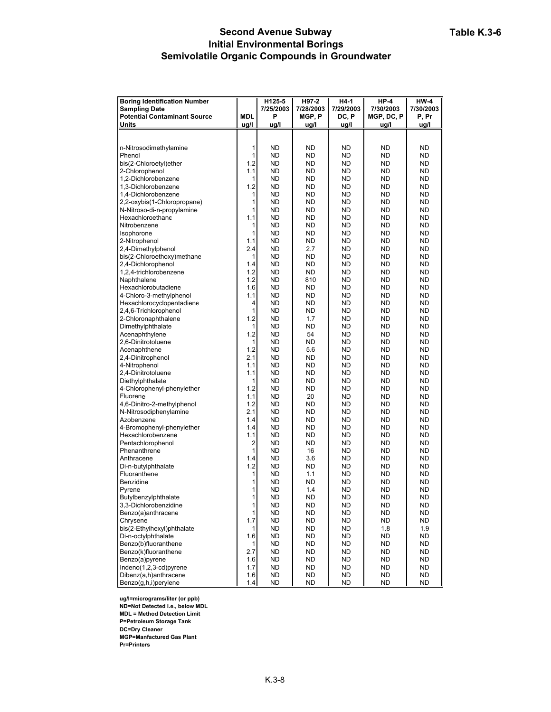#### **Second Avenue Subway Initial Environmental Borings Semivolatile Organic Compounds in Groundwater**

| <b>Boring Identification Number</b> |            | H125-5    | H97-2     | $H4-1$    | $HP-4$     | $HW-4$    |
|-------------------------------------|------------|-----------|-----------|-----------|------------|-----------|
| <b>Sampling Date</b>                |            | 7/25/2003 | 7/28/2003 | 7/29/2003 | 7/30/2003  | 7/30/2003 |
| <b>Potential Contaminant Source</b> | <b>MDL</b> | P         | MGP, P    | DC, P     | MGP, DC, P | P, Pr     |
| Units                               | ug/l       | ug/l      | ug/l      | ug/l      | ug/l       | ug/l      |
|                                     |            |           |           |           |            |           |
|                                     |            |           |           |           |            |           |
| n-Nitrosodimethylamine              | 1          | ND        | ND        | ND        | ND         | ND        |
| Phenol                              | 1          | ND        | ND        | ND        | ND         | ND        |
| bis(2-Chloroetyl)ether              | 1.2        | ND        | ND        | ND        | <b>ND</b>  | ND        |
| 2-Chlorophenol                      | 1.1        | ND        | ND        | ND        | <b>ND</b>  | ND        |
| 1,2-Dichlorobenzene                 | 1          | <b>ND</b> | ND        | <b>ND</b> | <b>ND</b>  | ND        |
| 1,3-Dichlorobenzene                 | 1.2        | <b>ND</b> | ND        | <b>ND</b> | <b>ND</b>  | <b>ND</b> |
| 1,4-Dichlorobenzene                 | 1          | ND        | ND        | ND        | <b>ND</b>  | ND        |
| 2,2-oxybis(1-Chloropropane)         | 1          | <b>ND</b> | <b>ND</b> | <b>ND</b> | <b>ND</b>  | <b>ND</b> |
| N-Nitroso-di-n-propylamine          | 1          | <b>ND</b> | ND        | <b>ND</b> | <b>ND</b>  | <b>ND</b> |
| Hexachloroethane                    | 1.1        | ND        | ND        | <b>ND</b> | <b>ND</b>  | ND        |
| Nitrobenzene                        | 1          | ND        | ND        | ND        | ND         | ND        |
| Isophorone                          | 1          | ND        | ND        | ND        | ND         | ND        |
| 2-Nitrophenol                       | 1.1        | <b>ND</b> | <b>ND</b> | <b>ND</b> | <b>ND</b>  | <b>ND</b> |
| 2,4-Dimethylphenol                  | 2.4        | ND        | 2.7       | ND        | <b>ND</b>  | ND        |
| bis(2-Chloroethoxy)methane          | 1          | ND        | ND        | <b>ND</b> | <b>ND</b>  | ND        |
| 2,4-Dichlorophenol                  | 1.4        | <b>ND</b> | <b>ND</b> | <b>ND</b> | <b>ND</b>  | ND        |
| 1,2,4-trichlorobenzene              | 1.2        | <b>ND</b> | <b>ND</b> | <b>ND</b> | <b>ND</b>  | <b>ND</b> |
| Naphthalene                         | 1.2        | ND        | 810       | ND        | <b>ND</b>  | ND        |
| Hexachlorobutadiene                 | 1.6        | ND        | ND        | ND        | ND         | ND        |
| 4-Chloro-3-methylphenol             | 1.1        | ND        | ND        | ND        | <b>ND</b>  | ND        |
| Hexachlorocyclopentadiene           | 4          | <b>ND</b> | ND        | <b>ND</b> | <b>ND</b>  | ND        |
| 2,4,6-Trichlorophenol               | 1          | <b>ND</b> | ND        | <b>ND</b> | <b>ND</b>  | <b>ND</b> |
| 2-Chloronaphthalene                 | 1.2        | ND        | 1.7       | ND        | <b>ND</b>  | ND        |
| Dimethylphthalate                   | 1          | <b>ND</b> | <b>ND</b> | <b>ND</b> | <b>ND</b>  | <b>ND</b> |
| Acenaphthylene                      | 1.2        | <b>ND</b> | 54        | <b>ND</b> | <b>ND</b>  | <b>ND</b> |
| 2,6-Dinitrotoluene                  | 1          | <b>ND</b> | <b>ND</b> | ND        | <b>ND</b>  | ND        |
| Acenaphthene                        | 1.2        | ND        | 5.6       | ND        | ND         | ND        |
| 2,4-Dinitrophenol                   | 2.1        | ND        | ND        | ND        | <b>ND</b>  | ND        |
| 4-Nitrophenol                       | 1.1        | ND        | ND        | ND        | <b>ND</b>  | ND        |
| 2,4-Dinitrotoluene                  | 1.1        | <b>ND</b> | ND        | <b>ND</b> | <b>ND</b>  | ND        |
| Diethylphthalate                    | 1          | <b>ND</b> | ND        | <b>ND</b> | <b>ND</b>  | <b>ND</b> |
| 4-Chlorophenyl-phenylether          | 1.2        | ND        | ND        | ND        | <b>ND</b>  | ND        |
| Fluorene                            | 1.1        | <b>ND</b> | 20        | <b>ND</b> | <b>ND</b>  | <b>ND</b> |
| 4,6-Dinitro-2-methylphenol          | 1.2        | <b>ND</b> | <b>ND</b> | <b>ND</b> | <b>ND</b>  | <b>ND</b> |
| N-Nitrosodiphenylamine              | 2.1        | <b>ND</b> | ND        | ND        | <b>ND</b>  | ND        |
| Azobenzene                          | 1.4        | ND        | ND        | ND        | ND         | ND        |
| 4-Bromophenyl-phenylether           | 1.4        | ND        | ND        | ND        | ND         | ND        |
| Hexachlorobenzene                   | 1.1        | <b>ND</b> | <b>ND</b> | <b>ND</b> | <b>ND</b>  | <b>ND</b> |
| Pentachlorophenol                   | 2          | ND        | ND        | ND        | <b>ND</b>  | ND        |
| Phenanthrene                        | 1          | ND        | 16        | <b>ND</b> | <b>ND</b>  | ND        |
| Anthracene                          | 1.4<br>1.2 | <b>ND</b> | 3.6       | ND        | <b>ND</b>  | ND        |
| Di-n-butylphthalate<br>Fluoranthene |            | <b>ND</b> | ND        | <b>ND</b> | <b>ND</b>  | <b>ND</b> |
| <b>Benzidine</b>                    | 1<br>1     | ND<br>ND  | 1.1<br>ND | ND<br>ND  | ND<br>ND   | ND<br>ND  |
| Pyrene                              | 1          | ND        | 1.4       | ND        | <b>ND</b>  | ND        |
| Butylbenzylphthalate                | 1          | ND        | <b>ND</b> | <b>ND</b> | ND         | <b>ND</b> |
| 3,3-Dichlorobenzidine               | 1          | ND        | ND.       | <b>ND</b> | ND         | ND        |
| Benzo(a)anthracene                  | 1          | ND        | ND.       | ND        | ND.        | ND.       |
| Chrysene                            | 1.7        | ND        | ND        | ND.       | <b>ND</b>  | ND        |
| bis(2-Ethylhexyl)phthalate          | 1          | <b>ND</b> | ND        | <b>ND</b> | 1.8        | 1.9       |
| Di-n-octylphthalate                 | 1.6        | ND        | ND        | ND        | ND         | ND.       |
| Benzo(b)fluoranthene                | 1          | ND        | ND        | ND        | ND         | ND.       |
| Benzo(k)fluoranthene                | 2.7        | ND        | ND        | ND        | ND         | ND.       |
| Benzo(a)pyrene                      | 1.6        | ND        | ND.       | ND.       | ND         | ND.       |
| Indeno(1,2,3-cd)pyrene              | 1.7        | ND        | ND        | <b>ND</b> | ND         | ND.       |
| Dibenz(a,h)anthracene               | 1.6        | ND        | ND.       | ND.       | ND         | ND.       |
| Benzo(g,h,i)perylene                | 1.4        | ND        | <b>ND</b> | ND        | ND         | <b>ND</b> |

**ug/l=micrograms/liter (or ppb)**

**ND=Not Detected i.e., below MDL**

**MDL = Method Detection Limit P=Petroleum Storage Tank**

**DC=Dry Cleaner**

**MGP=Manfactured Gas Plant**

**Pr=Printers**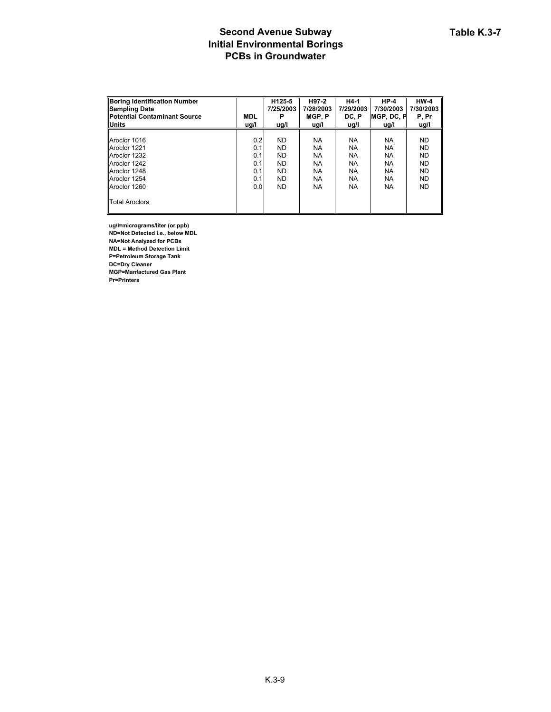# **Second Avenue Subway Initial Environmental Borings PCBs in Groundwater**

| <b>Boring Identification Number</b>  |            | H125-5    | H97-2     | H4-1      | $HP-4$             | $HW-4$    |
|--------------------------------------|------------|-----------|-----------|-----------|--------------------|-----------|
| <b>Sampling Date</b>                 |            | 7/25/2003 | 7/28/2003 | 7/29/2003 | 7/30/2003          | 7/30/2003 |
| <b>IPotential Contaminant Source</b> | <b>MDL</b> |           | MGP.P     | DC. P     | <b>IMGP. DC. P</b> | P. Pr     |
| <b>Units</b>                         | ug/l       | ug/l      | ug/l      | ug/l      | ug/l               | ug/l      |
|                                      |            |           |           |           |                    |           |
| Aroclor 1016                         | 0.2        | <b>ND</b> | <b>NA</b> | <b>NA</b> | <b>NA</b>          | <b>ND</b> |
| Aroclor 1221                         | 0.1        | <b>ND</b> | <b>NA</b> | <b>NA</b> | <b>NA</b>          | <b>ND</b> |
| Aroclor 1232                         | 0.1        | <b>ND</b> | <b>NA</b> | <b>NA</b> | <b>NA</b>          | <b>ND</b> |
| Aroclor 1242                         | 0.1        | <b>ND</b> | <b>NA</b> | <b>NA</b> | <b>NA</b>          | <b>ND</b> |
| Aroclor 1248                         | 0.1        | <b>ND</b> | <b>NA</b> | NA.       | <b>NA</b>          | <b>ND</b> |
| Aroclor 1254                         | 0.1        | <b>ND</b> | <b>NA</b> | <b>NA</b> | <b>NA</b>          | <b>ND</b> |
| Aroclor 1260                         | 0.01       | ND.       | <b>NA</b> | <b>NA</b> | <b>NA</b>          | <b>ND</b> |
| <b>Total Aroclors</b>                |            |           |           |           |                    |           |

**ug/l=micrograms/liter (or ppb) ND=Not Detected i.e., below MDL NA=Not Analyzed for PCBs MDL = Method Detection Limit P=Petroleum Storage Tank DC=Dry Cleaner MGP=Manfactured Gas Plant Pr=Printers**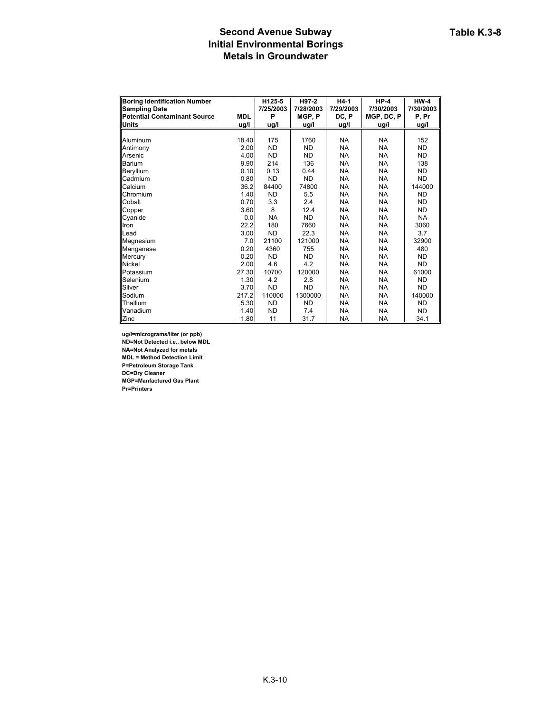# **Second Avenue Subway Initial Environmental Borings Metals in Groundwater**

| <b>Boring Identification Number</b> |            | H125-5    | H97-2     | H4-1      | $HP-4$     | $HW-4$    |
|-------------------------------------|------------|-----------|-----------|-----------|------------|-----------|
| <b>Sampling Date</b>                |            | 7/25/2003 | 7/28/2003 | 7/29/2003 | 7/30/2003  | 7/30/2003 |
| <b>Potential Contaminant Source</b> | <b>MDL</b> | P         | MGP, P    | DC, P     | MGP, DC, P | P, Pr     |
| <b>Units</b>                        | ug/l       | ug/l      | ug/l      | ug/l      | ug/l       | ug/l      |
|                                     |            |           |           |           |            |           |
| Aluminum                            | 18.40      | 175       | 1760      | <b>NA</b> | <b>NA</b>  | 152       |
| Antimony                            | 2.00       | <b>ND</b> | <b>ND</b> | <b>NA</b> | <b>NA</b>  | <b>ND</b> |
| Arsenic                             | 4.00       | <b>ND</b> | <b>ND</b> | <b>NA</b> | <b>NA</b>  | <b>ND</b> |
| Barium                              | 9.90       | 214       | 136       | <b>NA</b> | <b>NA</b>  | 138       |
| Beryllium                           | 0.10       | 0.13      | 0.44      | <b>NA</b> | <b>NA</b>  | <b>ND</b> |
| Cadmium                             | 0.80       | <b>ND</b> | <b>ND</b> | <b>NA</b> | <b>NA</b>  | <b>ND</b> |
| Calcium                             | 36.2       | 84400     | 74800     | <b>NA</b> | <b>NA</b>  | 144000    |
| Chromium                            | 1.40       | <b>ND</b> | 5.5       | <b>NA</b> | <b>NA</b>  | <b>ND</b> |
| Cobalt                              | 0.70       | 3.3       | 2.4       | NA.       | <b>NA</b>  | <b>ND</b> |
| Copper                              | 3.60       | 8         | 12.4      | <b>NA</b> | <b>NA</b>  | <b>ND</b> |
| Cyanide                             | 0.0        | <b>NA</b> | <b>ND</b> | <b>NA</b> | <b>NA</b>  | <b>NA</b> |
| Iron                                | 22.2       | 180       | 7660      | <b>NA</b> | <b>NA</b>  | 3060      |
| Lead                                | 3.00       | <b>ND</b> | 22.3      | <b>NA</b> | <b>NA</b>  | 3.7       |
| Magnesium                           | 7.0        | 21100     | 121000    | <b>NA</b> | <b>NA</b>  | 32900     |
| Manganese                           | 0.20       | 4360      | 755       | <b>NA</b> | <b>NA</b>  | 480       |
| Mercury                             | 0.20       | <b>ND</b> | <b>ND</b> | <b>NA</b> | <b>NA</b>  | ND.       |
| <b>Nickel</b>                       | 2.00       | 4.6       | 4.2       | <b>NA</b> | <b>NA</b>  | ND.       |
| Potassium                           | 27.30      | 10700     | 120000    | <b>NA</b> | <b>NA</b>  | 61000     |
| Selenium                            | 1.30       | 4.2       | 2.8       | <b>NA</b> | <b>NA</b>  | <b>ND</b> |
| Silver                              | 3.70       | <b>ND</b> | <b>ND</b> | <b>NA</b> | <b>NA</b>  | <b>ND</b> |
| Sodium                              | 217.2      | 110000    | 1300000   | <b>NA</b> | <b>NA</b>  | 140000    |
| Thallium                            | 5.30       | <b>ND</b> | <b>ND</b> | <b>NA</b> | <b>NA</b>  | <b>ND</b> |
| Vanadium                            | 1.40       | <b>ND</b> | 7.4       | <b>NA</b> | <b>NA</b>  | <b>ND</b> |
| Zinc                                | 1.80       | 11        | 31.7      | NA        | NA         | 34.1      |

**ug/l=micrograms/liter (or ppb) ND=Not Detected i.e., below MDL NA=Not Analyzed for metals MDL = Method Detection Limit P=Petroleum Storage Tank DC=Dry Cleaner MGP=Manfactured Gas Plant Pr=Printers**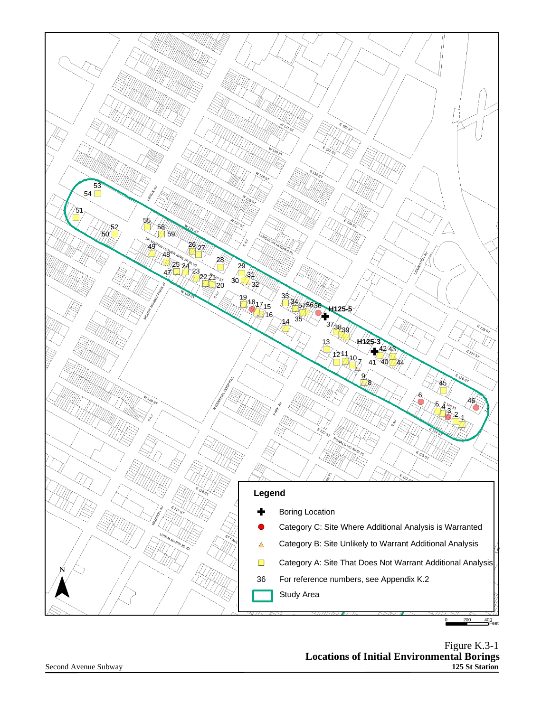

Figure K.3-1 **Locations of Initial Environmental Borings 125 St Station**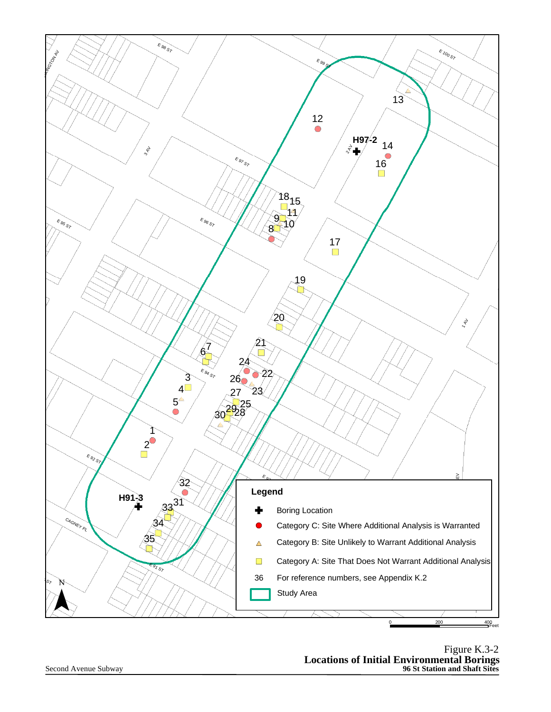

Figure K.3-2 **Locations of Initial Environmental Borings 96 St Station and Shaft Sites**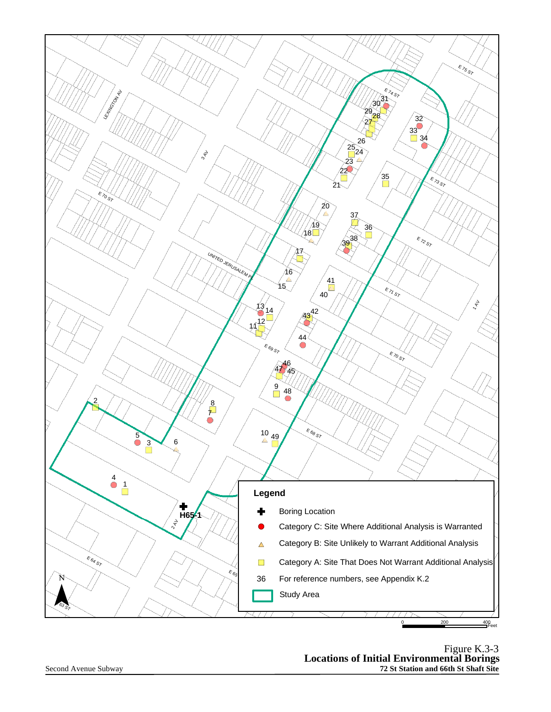

Figure K.3-3 **Locations of Initial Environmental Borings St Station and 66th St Shaft Site**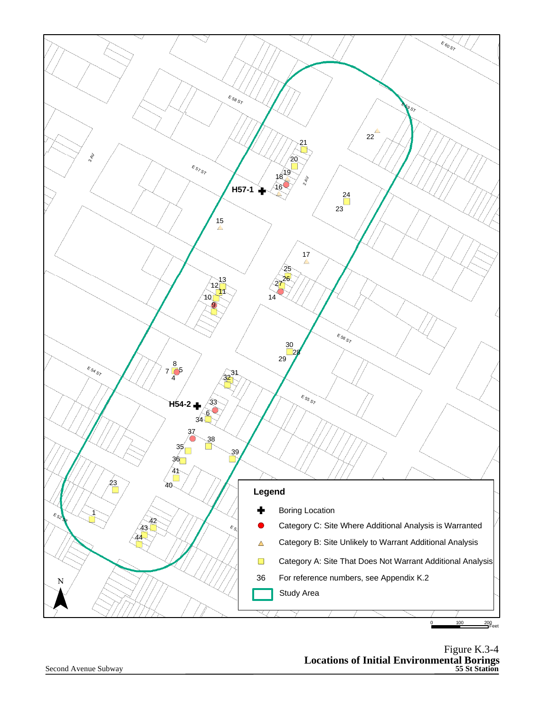

Figure K.3-4 **Locations of Initial Environmental Borings 55 St Station**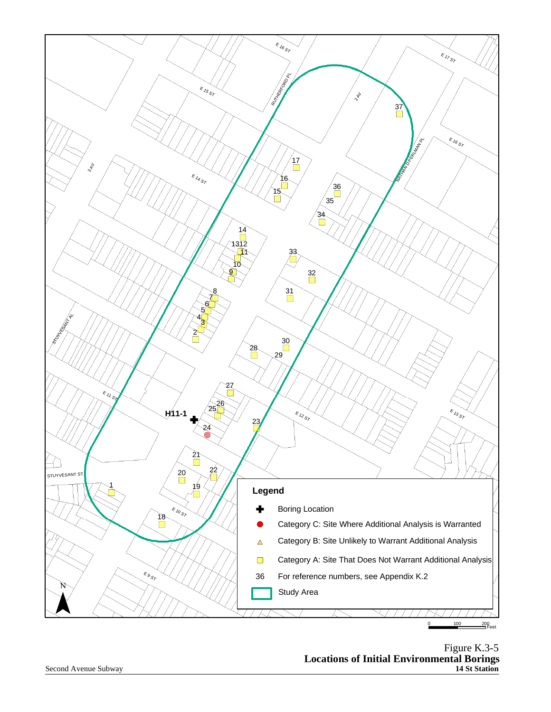

Figure K.3-5 **Locations of Initial Environmental Borings St Station**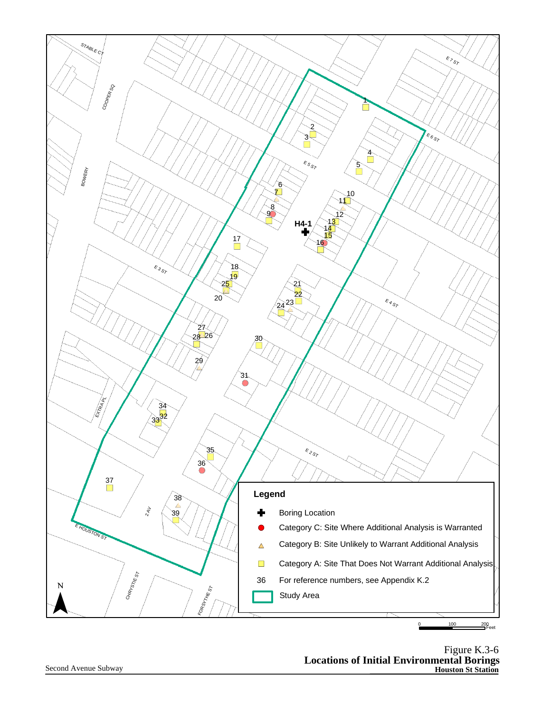

Figure K.3-6 **Locations of Initial Environmental Borings Houston St Station**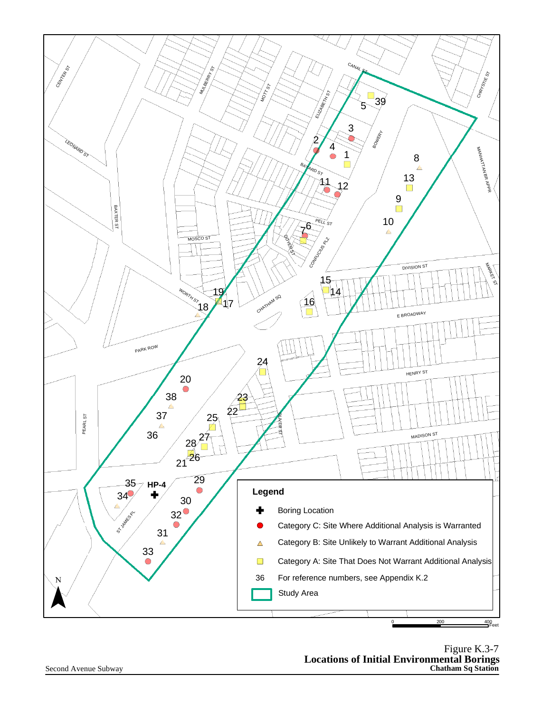

Figure K.3-7 **Locations of Initial Environmental Borings Chatham Sq Station**